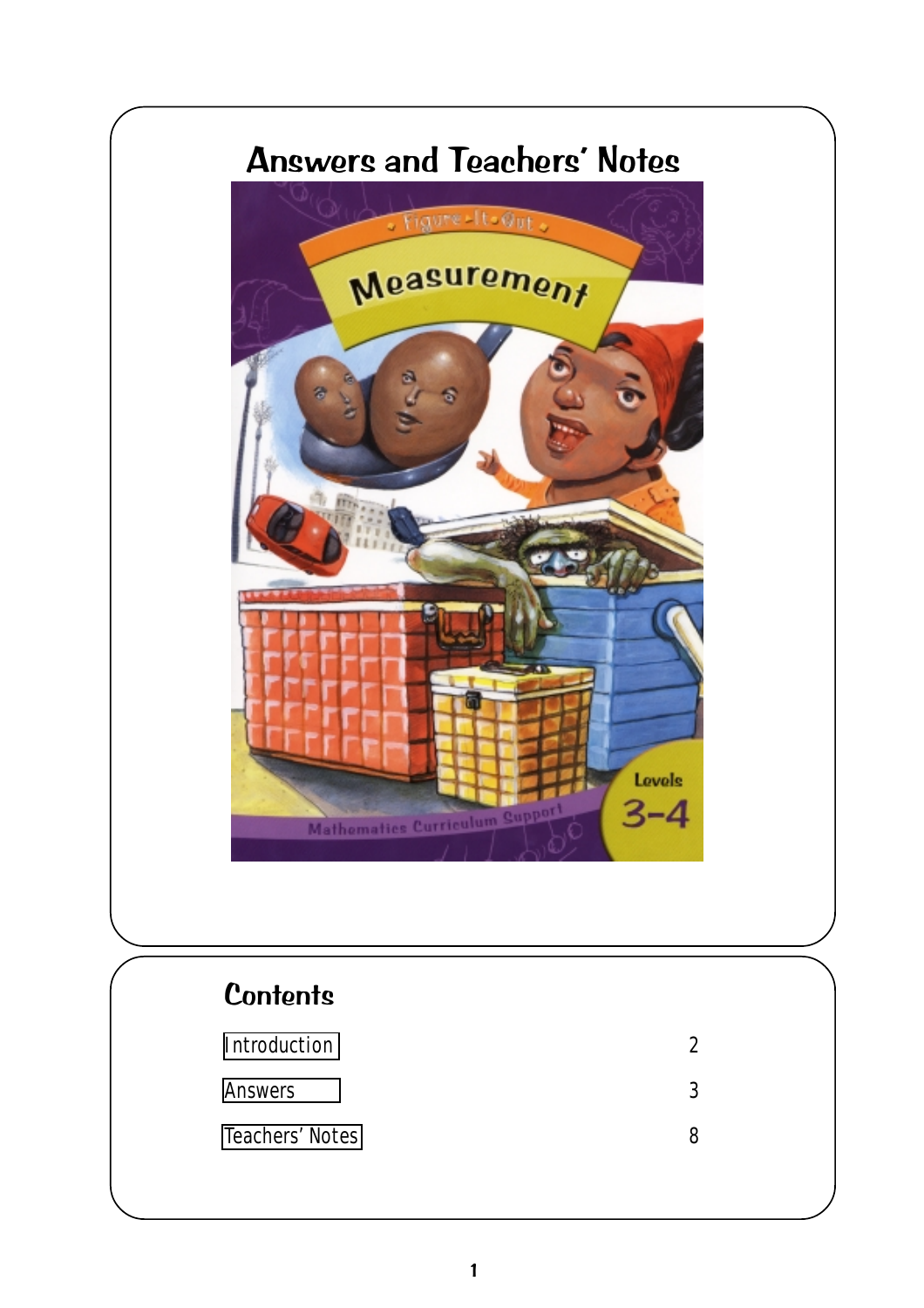# Answers and Teachers' Notes



# **Contents** [Introduction](#page-1-0) 2 [Answers](#page-2-0) 3 [Teachers' Notes](#page-7-0) 8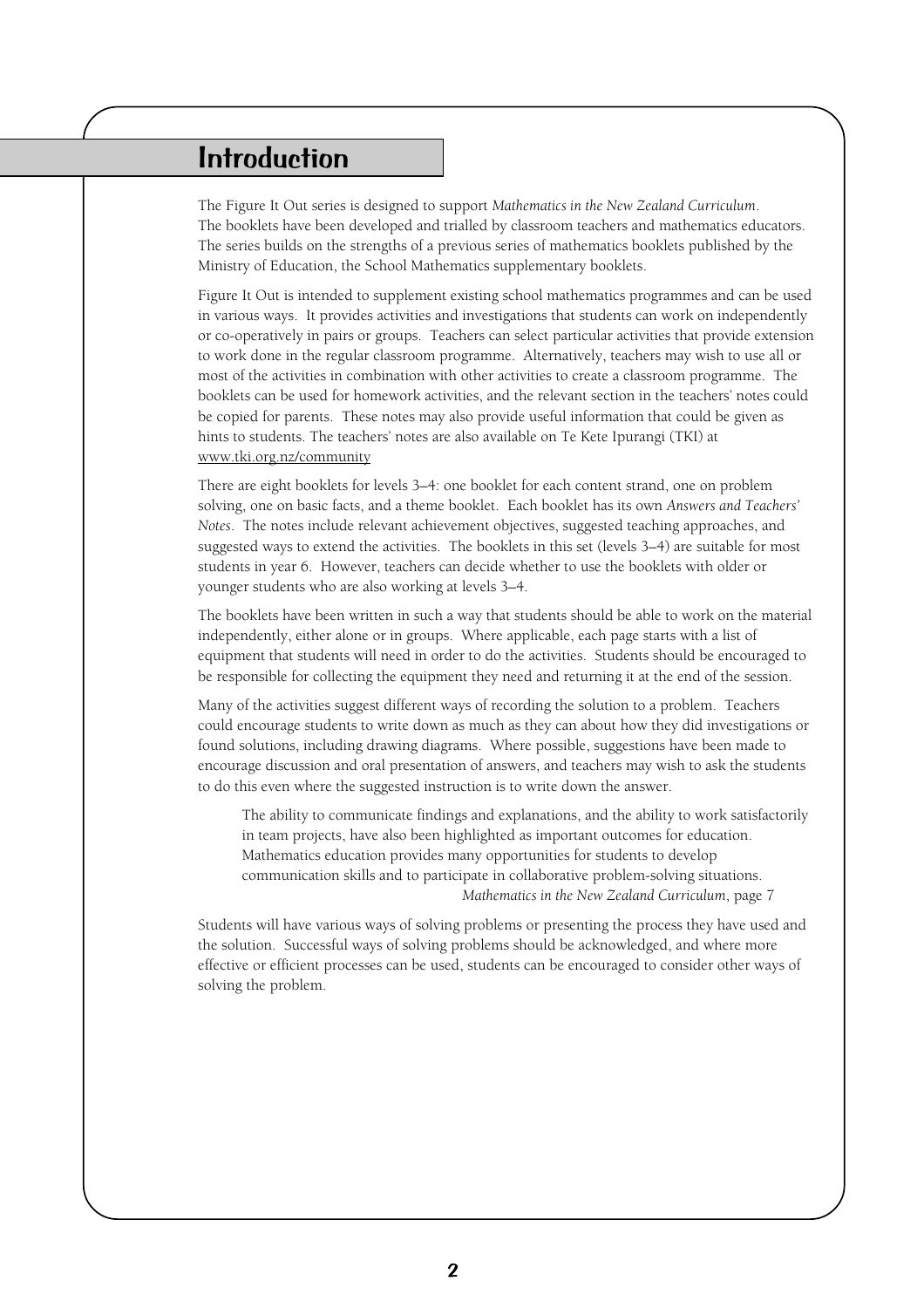# <span id="page-1-0"></span>Introduction

The Figure It Out series is designed to support *Mathematics in the New Zealand Curriculum*. The booklets have been developed and trialled by classroom teachers and mathematics educators. The series builds on the strengths of a previous series of mathematics booklets published by the Ministry of Education, the School Mathematics supplementary booklets.

Figure It Out is intended to supplement existing school mathematics programmes and can be used in various ways. It provides activities and investigations that students can work on independently or co-operatively in pairs or groups. Teachers can select particular activities that provide extension to work done in the regular classroom programme. Alternatively, teachers may wish to use all or most of the activities in combination with other activities to create a classroom programme. The booklets can be used for homework activities, and the relevant section in the teachers' notes could be copied for parents. These notes may also provide useful information that could be given as hints to students. The teachers' notes are also available on Te Kete Ipurangi (TKI) at www.tki.org.nz/community

There are eight booklets for levels 3–4: one booklet for each content strand, one on problem solving, one on basic facts, and a theme booklet. Each booklet has its own *Answers and Teachers' Notes*. The notes include relevant achievement objectives, suggested teaching approaches, and suggested ways to extend the activities. The booklets in this set (levels 3–4) are suitable for most students in year 6. However, teachers can decide whether to use the booklets with older or younger students who are also working at levels 3–4.

The booklets have been written in such a way that students should be able to work on the material independently, either alone or in groups. Where applicable, each page starts with a list of equipment that students will need in order to do the activities. Students should be encouraged to be responsible for collecting the equipment they need and returning it at the end of the session.

Many of the activities suggest different ways of recording the solution to a problem. Teachers could encourage students to write down as much as they can about how they did investigations or found solutions, including drawing diagrams. Where possible, suggestions have been made to encourage discussion and oral presentation of answers, and teachers may wish to ask the students to do this even where the suggested instruction is to write down the answer.

The ability to communicate findings and explanations, and the ability to work satisfactorily in team projects, have also been highlighted as important outcomes for education. Mathematics education provides many opportunities for students to develop communication skills and to participate in collaborative problem-solving situations. *Mathematics in the New Zealand Curriculum*, page 7

Students will have various ways of solving problems or presenting the process they have used and the solution. Successful ways of solving problems should be acknowledged, and where more effective or efficient processes can be used, students can be encouraged to consider other ways of solving the problem.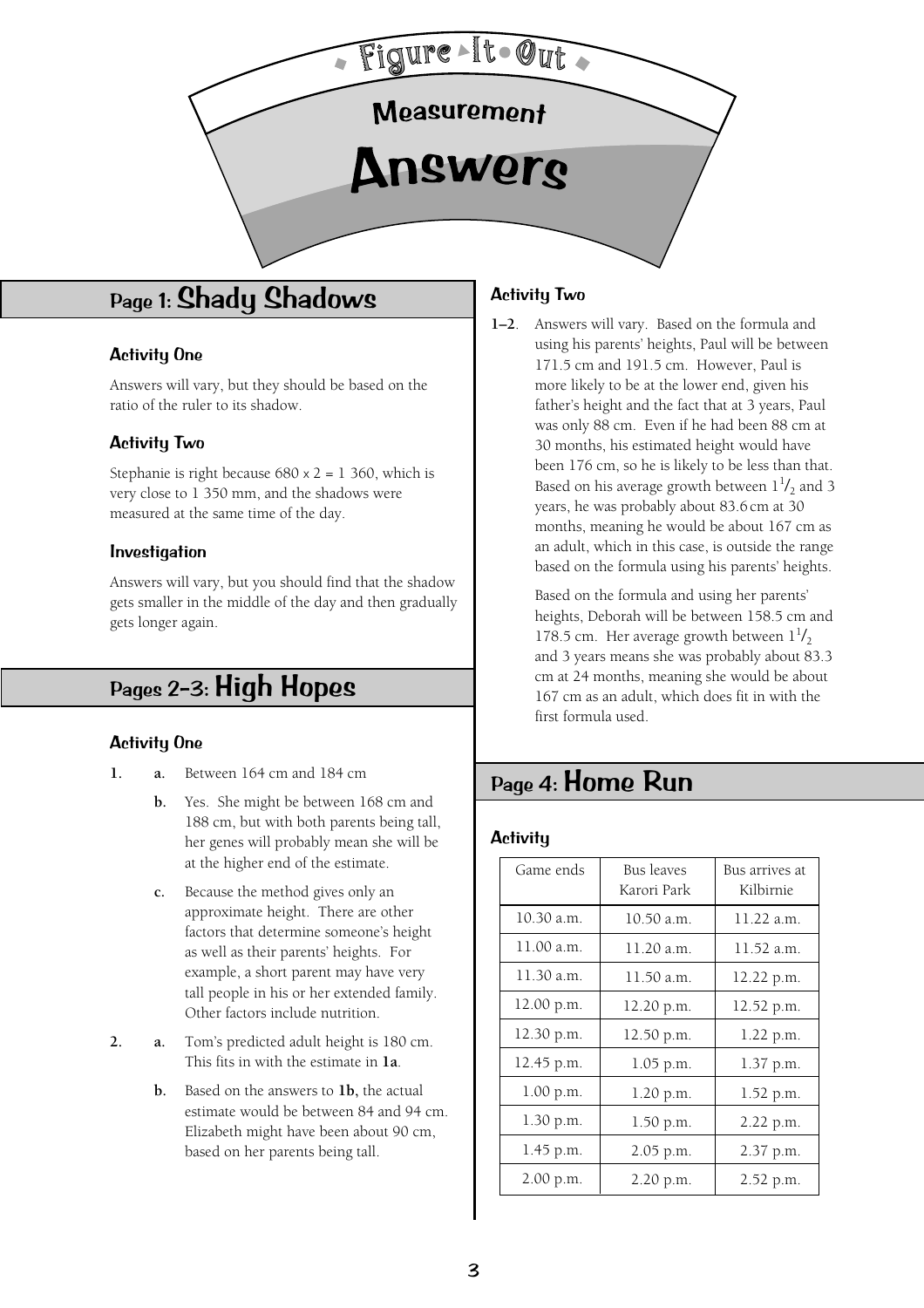<span id="page-2-1"></span><span id="page-2-0"></span>

# Page 1: Shady Shadows

### Activity One

Answers will vary, but they should be based on the ratio of the ruler to its shadow.

### Activity Two

Stephanie is right because  $680 \times 2 = 1360$ , which is very close to 1 350 mm, and the shadows were measured at the same time of the day.

#### Investigation

Answers will vary, but you should find that the shadow gets smaller in the middle of the day and then gradually gets longer again.

# Pages 2–3: High Hopes

### Activity One

- **1. a.** Between 164 cm and 184 cm
	- **b.** Yes. She might be between 168 cm and 188 cm, but with both parents being tall, her genes will probably mean she will be at the higher end of the estimate.
	- **c.** Because the method gives only an approximate height. There are other factors that determine someone's height as well as their parents' heights. For example, a short parent may have very tall people in his or her extended family. Other factors include nutrition.
- **2. a.** Tom's predicted adult height is 180 cm. This fits in with the estimate in **1a**.
	- **b.** Based on the answers to **1b,** the actual estimate would be between 84 and 94 cm. Elizabeth might have been about 90 cm, based on her parents being tall.

### Activity Two

**1–2**. Answers will vary. Based on the formula and using his parents' heights, Paul will be between 171.5 cm and 191.5 cm. However, Paul is more likely to be at the lower end, given his father's height and the fact that at 3 years, Paul was only 88 cm. Even if he had been 88 cm at 30 months, his estimated height would have been 176 cm, so he is likely to be less than that. Based on his average growth between  $1^{1}/_2$  and 3 years, he was probably about 83.6 cm at 30 months, meaning he would be about 167 cm as an adult, which in this case, is outside the range based on the formula using his parents' heights.

> Based on the formula and using her parents' heights, Deborah will be between 158.5 cm and 178.5 cm. Her average growth between  $1^{1}/_{2}$ and 3 years means she was probably about 83.3 cm at 24 months, meaning she would be about 167 cm as an adult, which does fit in with the first formula used.

# Page 4: Home Run

#### **Activity**

| Game ends  | <b>Bus leaves</b><br>Karori Park | Bus arrives at<br>Kilbirnie |
|------------|----------------------------------|-----------------------------|
| 10.30 a.m. | 10.50 a.m.                       | 11.22 a.m.                  |
| 11.00 a.m. | 11.20 a.m.                       | 11.52 a.m.                  |
| 11.30 a.m. | 11.50 a.m.                       | 12.22 p.m.                  |
| 12.00 p.m. | 12.20 p.m.                       | 12.52 p.m.                  |
| 12.30 p.m. | 12.50 p.m.                       | 1.22 p.m.                   |
| 12.45 p.m. | 1.05 p.m.                        | 1.37 p.m.                   |
| 1.00 p.m.  | 1.20 p.m.                        | 1.52 p.m.                   |
| 1.30 p.m.  | 1.50 p.m.                        | 2.22 p.m.                   |
| 1.45 p.m.  | 2.05 p.m.                        | 2.37 p.m.                   |
| 2.00 p.m.  | 2.20 p.m.                        | 2.52 p.m.                   |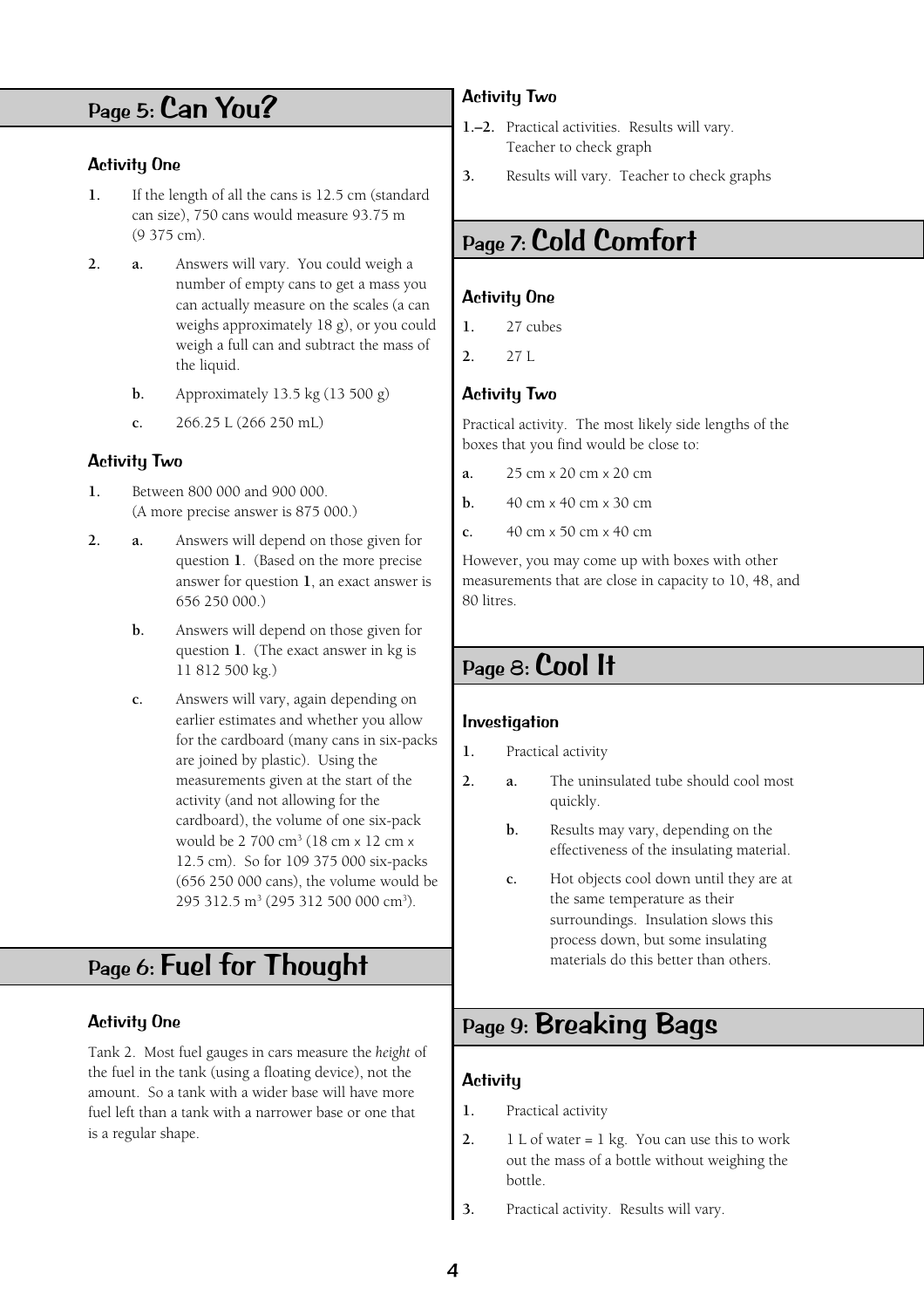# <span id="page-3-2"></span><span id="page-3-1"></span><span id="page-3-0"></span>Page 5: Can You?

### Activity One

- **1.** If the length of all the cans is 12.5 cm (standard can size), 750 cans would measure 93.75 m  $(9.375 \text{ cm})$ .
- **2. a.** Answers will vary. You could weigh a number of empty cans to get a mass you can actually measure on the scales (a can weighs approximately 18 g), or you could weigh a full can and subtract the mass of the liquid.
	- **b.** Approximately 13.5 kg (13 500 g)
	- **c.** 266.25 L (266 250 mL)

### Activity Two

- **1.** Between 800 000 and 900 000. (A more precise answer is 875 000.)
- **2. a.** Answers will depend on those given for question **1**. (Based on the more precise answer for question **1**, an exact answer is 656 250 000.)
	- **b.** Answers will depend on those given for question **1**. (The exact answer in kg is 11 812 500 kg.)
	- **c.** Answers will vary, again depending on earlier estimates and whether you allow for the cardboard (many cans in six-packs are joined by plastic). Using the measurements given at the start of the activity (and not allowing for the cardboard), the volume of one six-pack would be 2 700 cm3 (18 cm x 12 cm x 12.5 cm). So for 109 375 000 six-packs (656 250 000 cans), the volume would be 295 312.5 m<sup>3</sup> (295 312 500 000 cm<sup>3</sup>).

# Page 6: Fuel for Thought

### Activity One

Tank 2. Most fuel gauges in cars measure the *height* of the fuel in the tank (using a floating device), not the amount. So a tank with a wider base will have more fuel left than a tank with a narrower base or one that is a regular shape.

### Activity Two

- **1.–2.** Practical activities. Results will vary. Teacher to check graph
- **3.** Results will vary. Teacher to check graphs

# Page 7: Cold Comfort

### Activity One

- **1.** 27 cubes
- **2.** 27 L

### Activity Two

Practical activity. The most likely side lengths of the boxes that you find would be close to:

- **a.** 25 cm x 20 cm x 20 cm
- **b.** 40 cm x 40 cm x 30 cm
- **c.** 40 cm x 50 cm x 40 cm

However, you may come up with boxes with other measurements that are close in capacity to 10, 48, and 80 litres.

# Page 8: Cool It

### Investigation

- **1.** Practical activity
- **2. a.** The uninsulated tube should cool most quickly.
	- **b.** Results may vary, depending on the effectiveness of the insulating material.
	- **c.** Hot objects cool down until they are at the same temperature as their surroundings. Insulation slows this process down, but some insulating materials do this better than others.

# Page 9: Breaking Bags

### **Activity**

- **1.** Practical activity
- **2.** 1 L of water = 1 kg. You can use this to work out the mass of a bottle without weighing the bottle.
- **3.** Practical activity. Results will vary.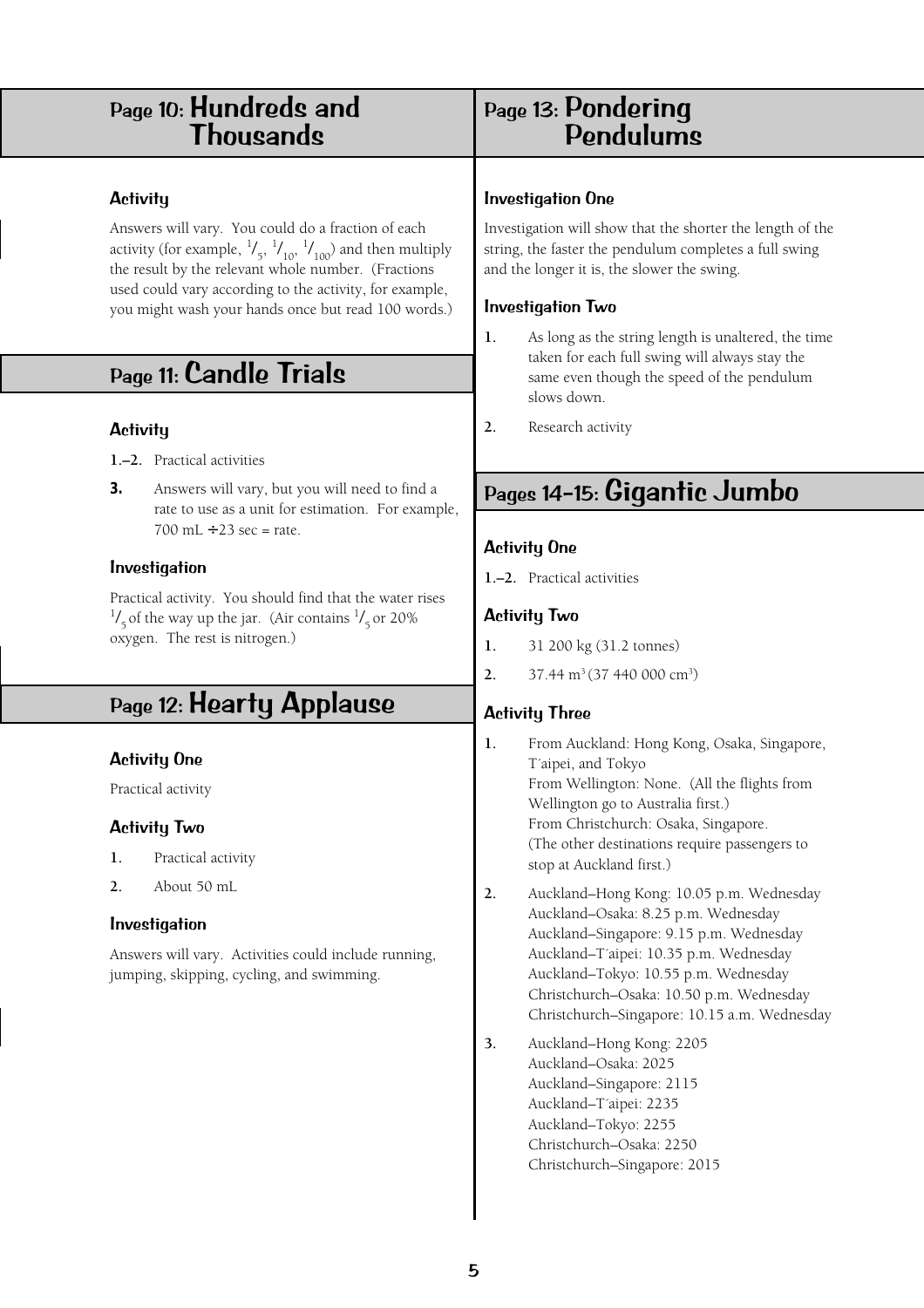# <span id="page-4-1"></span><span id="page-4-0"></span>Page 10: Hundreds and<br>Thousands

### **Activity**

Answers will vary. You could do a fraction of each activity (for example,  $\frac{1}{5}$ ,  $\frac{1}{10}$ ,  $\frac{1}{100}$ ) and then multiply the result by the relevant whole number. (Fractions used could vary according to the activity, for example, you might wash your hands once but read 100 words.)

# Page 11: Candle Trials

### **Activity**

- **1.–2.** Practical activities
- **3.** Answers will vary, but you will need to find a rate to use as a unit for estimation. For example, 700 mL  $\div$  23 sec = rate.

### Investigation

Practical activity. You should find that the water rises  $\frac{1}{5}$  of the way up the jar. (Air contains  $\frac{1}{5}$  or 20% oxygen. The rest is nitrogen.)

# Page 12: Hearty Applause

### Activity One

Practical activity

### Activity Two

- **1.** Practical activity
- **2.** About 50 mL

### Investigation

Answers will vary. Activities could include running, jumping, skipping, cycling, and swimming.

# Page 13: Pondering Pondulums

### Investigation One

Investigation will show that the shorter the length of the string, the faster the pendulum completes a full swing and the longer it is, the slower the swing.

### Investigation Two

- **1.** As long as the string length is unaltered, the time taken for each full swing will always stay the same even though the speed of the pendulum slows down.
- **2.** Research activity

# Pages 14–15: Gigantic Jumbo

### Activity One

**1.–2.** Practical activities

### Activity Two

- **1.** 31 200 kg (31.2 tonnes)
- **2.** 37.44 m<sup>3</sup> (37 440 000 cm<sup>3</sup>)

### Activity Three

- **1.** From Auckland: Hong Kong, Osaka, Singapore, T´aipei, and Tokyo From Wellington: None. (All the flights from Wellington go to Australia first.) From Christchurch: Osaka, Singapore. (The other destinations require passengers to stop at Auckland first.)
- **2.** Auckland–Hong Kong: 10.05 p.m. Wednesday Auckland–Osaka: 8.25 p.m. Wednesday Auckland–Singapore: 9.15 p.m. Wednesday Auckland–T´aipei: 10.35 p.m. Wednesday Auckland–Tokyo: 10.55 p.m. Wednesday Christchurch–Osaka: 10.50 p.m. Wednesday Christchurch–Singapore: 10.15 a.m. Wednesday
- **3.** Auckland–Hong Kong: 2205 Auckland–Osaka: 2025 Auckland–Singapore: 2115 Auckland–T´aipei: 2235 Auckland–Tokyo: 2255 Christchurch–Osaka: 2250 Christchurch–Singapore: 2015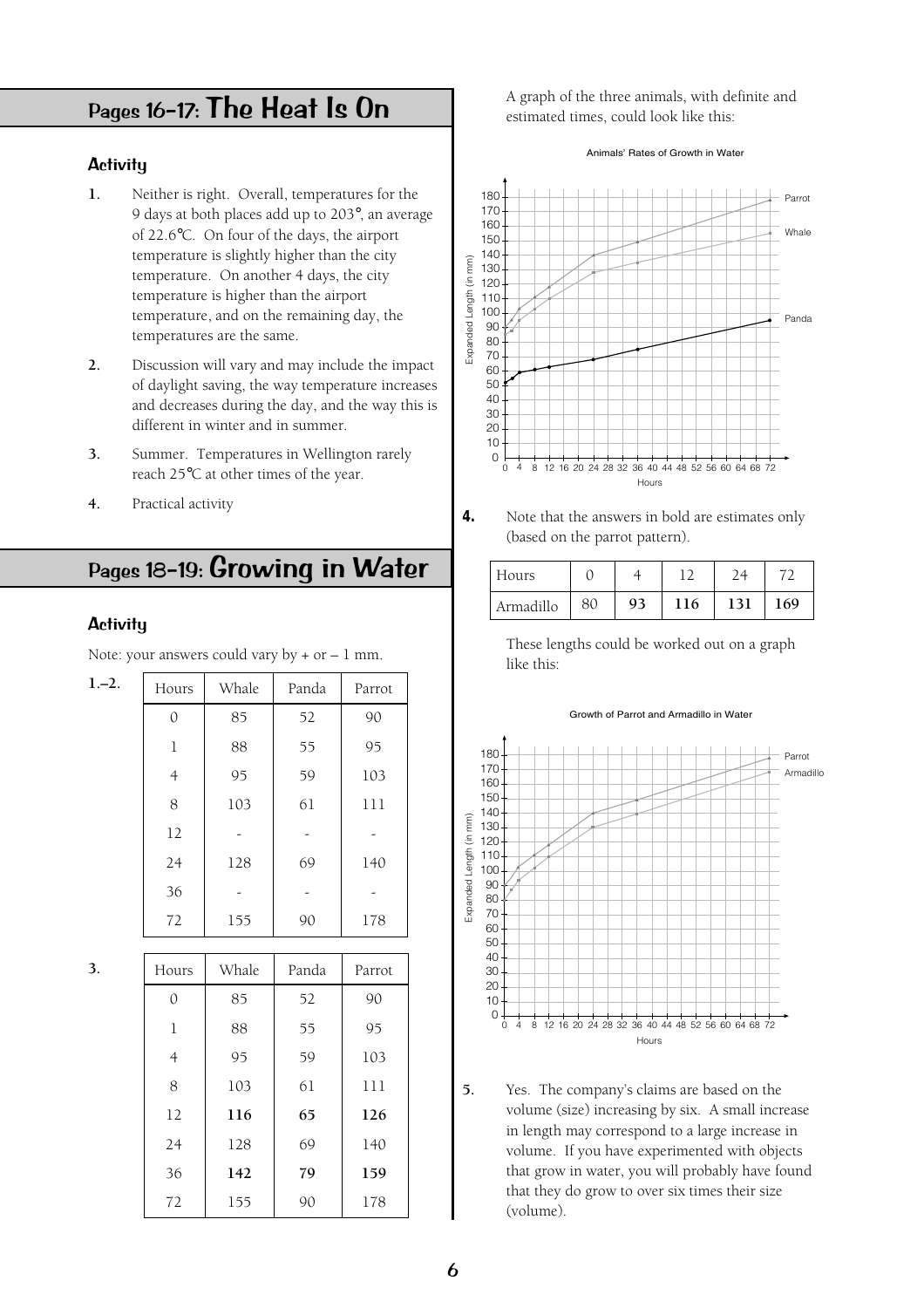# <span id="page-5-0"></span>Pages 16–17: The Heat Is On

### **Activity**

- **1.** Neither is right. Overall, temperatures for the 9 days at both places add up to 203°, an average of 22.6°C. On four of the days, the airport temperature is slightly higher than the city temperature. On another 4 days, the city temperature is higher than the airport temperature, and on the remaining day, the temperatures are the same.
- **2.** Discussion will vary and may include the impact of daylight saving, the way temperature increases and decreases during the day, and the way this is different in winter and in summer.
- **3.** Summer. Temperatures in Wellington rarely reach 25°C at other times of the year.
- **4.** Practical activity

# Pages 18–19: Growing in Water

#### **Activity**

Note: your answers could vary by  $+$  or  $-1$  mm.

| $1,-2.$ | Hours | Whale | Panda | Parrot |
|---------|-------|-------|-------|--------|
|         | 0     | 85    | 52    | 90     |
|         | 1     | 88    | 55    | 95     |
|         | 4     | 95    | 59    | 103    |
|         | 8     | 103   | 61    | 111    |
|         | 12    |       |       |        |
|         | 24    | 128   | 69    | 140    |
|         | 36    |       |       |        |
|         | 72    | 155   | 90    | 178    |

**3.**

| Hours          | Whale | Panda | Parrot |
|----------------|-------|-------|--------|
| $\Omega$       | 85    | 52    | 90     |
| 1              | 88    | 55    | 95     |
| $\overline{4}$ | 95    | 59    | 103    |
| 8              | 103   | 61    | 111    |
| 12             | 116   | 65    | 126    |
| 24             | 128   | 69    | 140    |
| 36             | 142   | 79    | 159    |
| 72             | 155   | 90    | 178    |

A graph of the three animals, with definite and estimated times, could look like this:

Animals' Rates of Growth in Water



**<sup>4.</sup>** Note that the answers in bold are estimates only (based on the parrot pattern).

| Hours     |    |    | ∽   |     |     |
|-----------|----|----|-----|-----|-----|
| Armadillo | 80 | 93 | 116 | 131 | 169 |

These lengths could be worked out on a graph like this:

#### Growth of Parrot and Armadillo in Water



**5.** Yes. The company's claims are based on the volume (size) increasing by six. A small increase in length may correspond to a large increase in volume. If you have experimented with objects that grow in water, you will probably have found that they do grow to over six times their size (volume).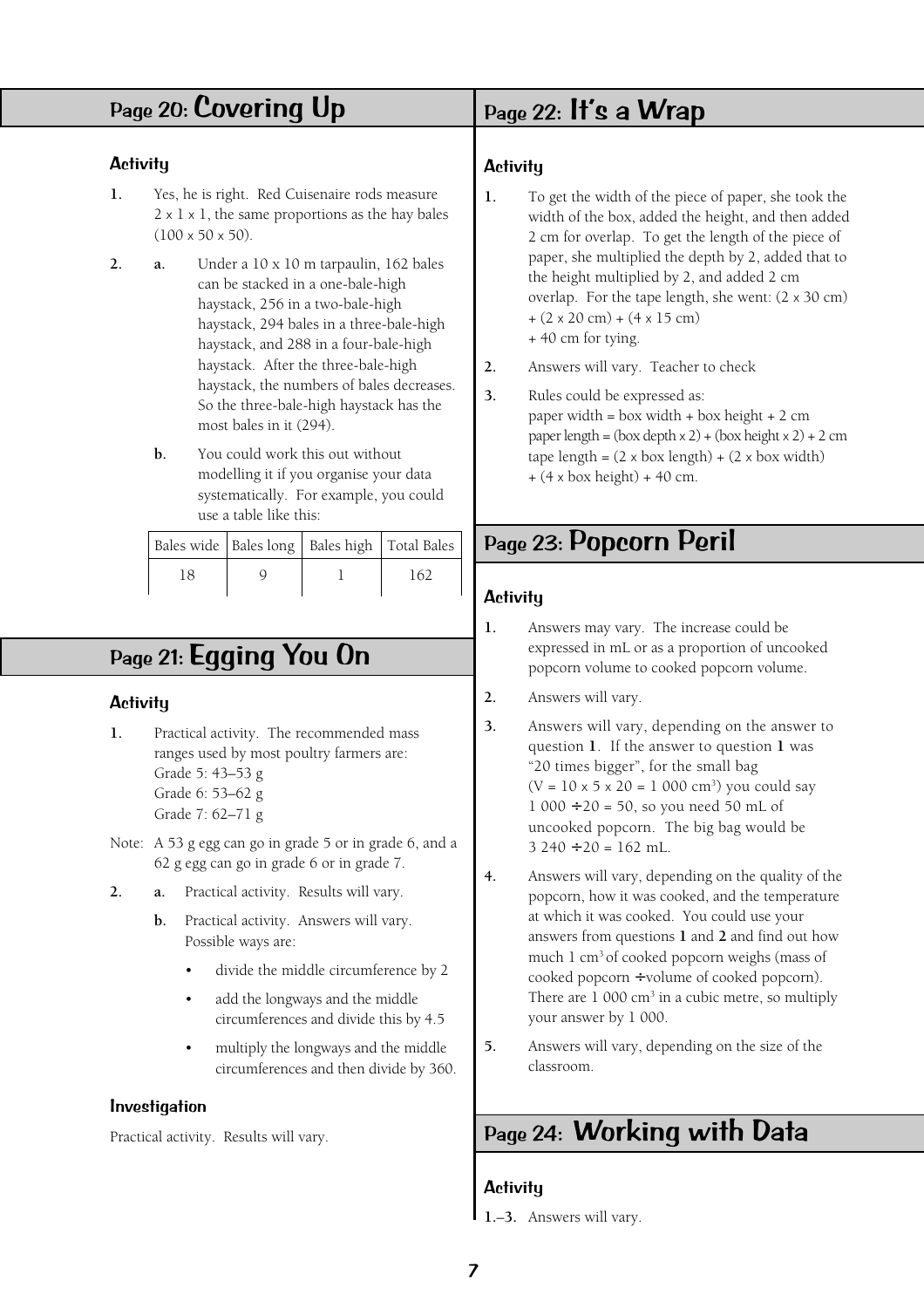# <span id="page-6-1"></span><span id="page-6-0"></span>Page 20: Covering Up

### **Activity**

- **1.** Yes, he is right. Red Cuisenaire rods measure  $2 \times 1 \times 1$ , the same proportions as the hay bales  $(100 \times 50 \times 50)$ .
- **2. a.** Under a 10 x 10 m tarpaulin, 162 bales can be stacked in a one-bale-high haystack, 256 in a two-bale-high haystack, 294 bales in a three-bale-high haystack, and 288 in a four-bale-high haystack. After the three-bale-high haystack, the numbers of bales decreases. So the three-bale-high haystack has the most bales in it (294).
	- **b.** You could work this out without modelling it if you organise your data systematically. For example, you could use a table like this:

|    | Bales wide   Bales long   Bales high   Total Bales |     |
|----|----------------------------------------------------|-----|
| 18 |                                                    | 162 |

# Page 21: Egging You On

### **Activity**

- **1.** Practical activity. The recommended mass ranges used by most poultry farmers are: Grade 5: 43–53 g Grade 6: 53–62 g Grade 7: 62–71 g
- Note: A 53 g egg can go in grade 5 or in grade 6, and a 62 g egg can go in grade 6 or in grade 7.
- **2. a.** Practical activity. Results will vary.
	- **b.** Practical activity. Answers will vary. Possible ways are:
		- divide the middle circumference by 2
		- add the longways and the middle circumferences and divide this by 4.5
		- multiply the longways and the middle circumferences and then divide by 360.

#### Investigation

Practical activity. Results will vary.

### Page 22: It's a Wrap

### **Activity**

- **1.** To get the width of the piece of paper, she took the width of the box, added the height, and then added 2 cm for overlap. To get the length of the piece of paper, she multiplied the depth by 2, added that to the height multiplied by 2, and added 2 cm overlap. For the tape length, she went: (2 x 30 cm)  $+ (2 \times 20 \text{ cm}) + (4 \times 15 \text{ cm})$ + 40 cm for tying.
- **2.** Answers will vary. Teacher to check
- **3.** Rules could be expressed as: paper width = box width + box height + 2 cm paper length =  $($ box depth  $\times$  2 $)$  +  $($ box height  $\times$  2 $)$  + 2 cm tape length =  $(2 \times box \text{ length}) + (2 \times box \text{ width})$  $+$  (4 x box height) + 40 cm.

# Page 23: Popcorn Peril

### **Activity**

- **1.** Answers may vary. The increase could be expressed in mL or as a proportion of uncooked popcorn volume to cooked popcorn volume.
- **2.** Answers will vary.
- **3.** Answers will vary, depending on the answer to question **1**. If the answer to question **1** was "20 times bigger", for the small bag  $(V = 10 \times 5 \times 20 = 1000 \text{ cm}^3)$  you could say  $1000 \div 20 = 50$ , so you need 50 mL of uncooked popcorn. The big bag would be  $3240 \div 20 = 162$  mL.
- **4.** Answers will vary, depending on the quality of the popcorn, how it was cooked, and the temperature at which it was cooked. You could use your answers from questions **1** and **2** and find out how much 1 cm3 of cooked popcorn weighs (mass of cooked popcorn ÷ volume of cooked popcorn). There are  $1000 \text{ cm}^3$  in a cubic metre, so multiply your answer by 1 000.
- **5.** Answers will vary, depending on the size of the classroom.

# Page 24: Working with Data

### **Activity**

**1.**–**3.** Answers will vary.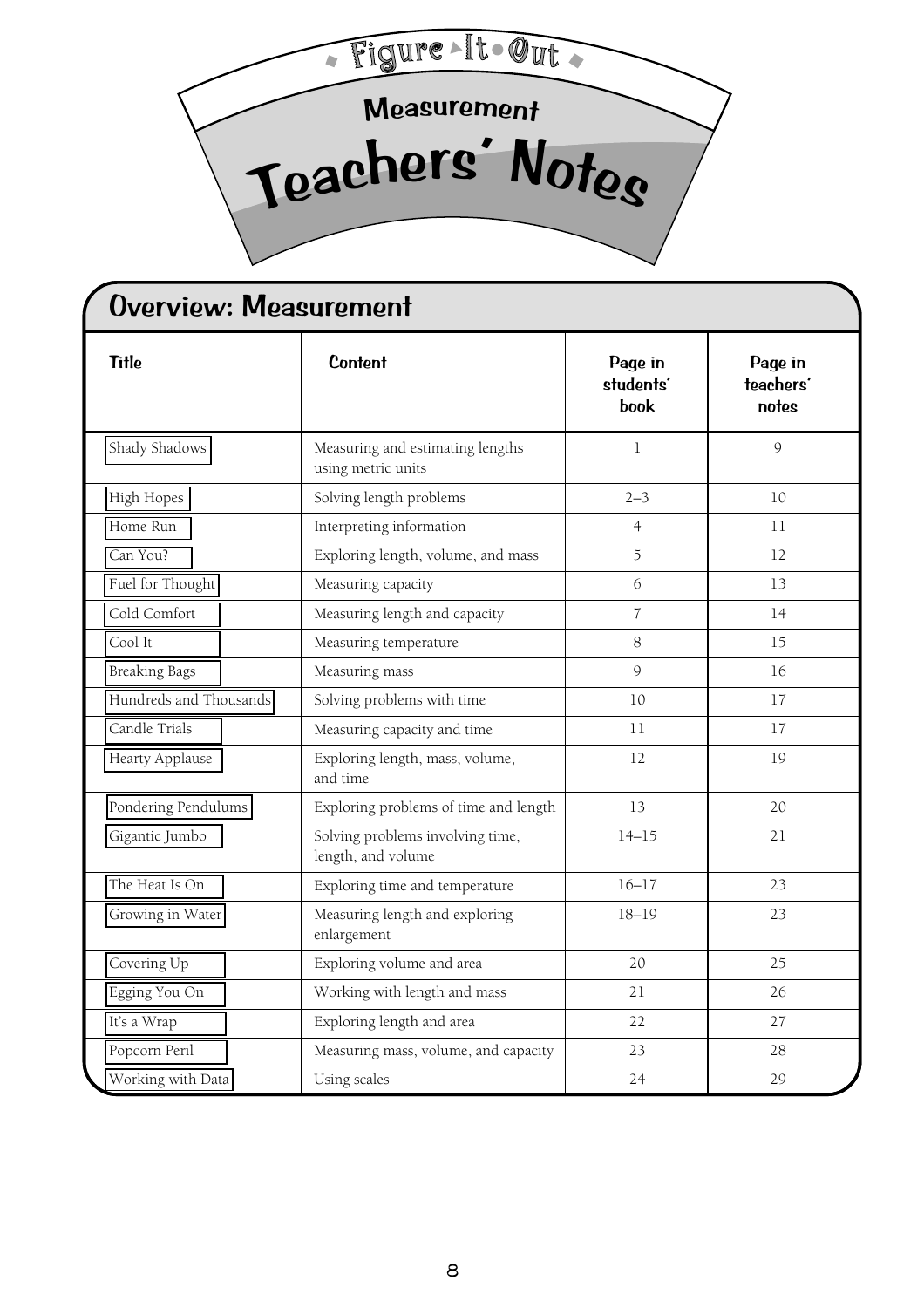<span id="page-7-0"></span>

| <b>Title</b>           | <b>Content</b>                                         | Page in<br>students'<br>book | Page in<br>teachers'<br>notes |  |
|------------------------|--------------------------------------------------------|------------------------------|-------------------------------|--|
| Shady Shadows          | Measuring and estimating lengths<br>using metric units | $\mathbf{1}$                 | 9                             |  |
| High Hopes             | Solving length problems                                | $2 - 3$                      | 10                            |  |
| Home Run               | Interpreting information                               | $\overline{4}$               | 11                            |  |
| Can You?               | Exploring length, volume, and mass                     | 5                            | 12                            |  |
| Fuel for Thought       | Measuring capacity                                     | 6                            | 13                            |  |
| Cold Comfort           | Measuring length and capacity                          | $\overline{7}$               | 14                            |  |
| Cool It                | Measuring temperature                                  | 8                            | 15                            |  |
| <b>Breaking Bags</b>   | Measuring mass                                         | 9                            | 16                            |  |
| Hundreds and Thousands | Solving problems with time                             | 10                           | 17                            |  |
| Candle Trials          | Measuring capacity and time                            | 11                           | 17                            |  |
| Hearty Applause        | Exploring length, mass, volume,<br>and time            | 12                           | 19                            |  |
| Pondering Pendulums    | Exploring problems of time and length                  | 13                           | 20                            |  |
| Gigantic Jumbo         | Solving problems involving time,<br>length, and volume | $14 - 15$                    | 21                            |  |
| The Heat Is On         | Exploring time and temperature                         | $16 - 17$                    | 23                            |  |
| Growing in Water       | Measuring length and exploring<br>enlargement          | $18 - 19$                    | 23                            |  |
| Covering Up            | Exploring volume and area                              | 20                           | 25                            |  |
| Egging You On          | Working with length and mass                           | 21                           | 26                            |  |
| It's a Wrap            | Exploring length and area                              | 22                           | 27                            |  |
| Popcorn Peril          | Measuring mass, volume, and capacity                   | 23                           | 28                            |  |
| Working with Data      | Using scales                                           | 24                           | 29                            |  |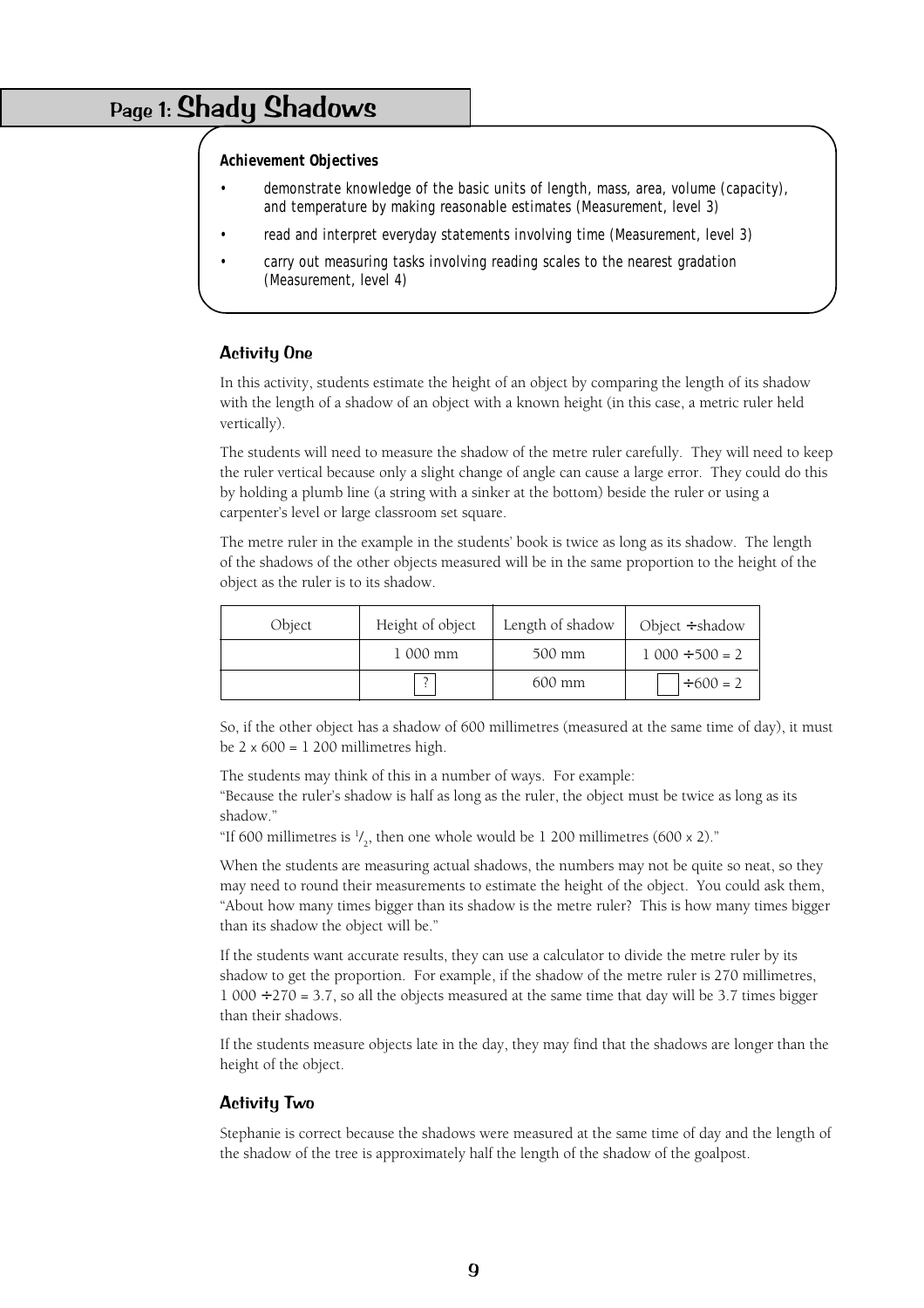# Page 1: Shady Shadows

#### **Achievement Objectives**

- demonstrate knowledge of the basic units of length, mass, area, volume (capacity), and temperature by making reasonable estimates (Measurement, level 3)
- read and interpret everyday statements involving time (Measurement, level 3)
- carry out measuring tasks involving reading scales to the nearest gradation (Measurement, level 4)

#### Activity One

In this activity, students estimate the height of an object by comparing the length of its shadow with the length of a shadow of an object with a known height (in this case, a metric ruler held vertically).

The students will need to measure the shadow of the metre ruler carefully. They will need to keep the ruler vertical because only a slight change of angle can cause a large error. They could do this by holding a plumb line (a string with a sinker at the bottom) beside the ruler or using a carpenter's level or large classroom set square.

The metre ruler in the example in the students' book is twice as long as its shadow. The length of the shadows of the other objects measured will be in the same proportion to the height of the object as the ruler is to its shadow.

| Object | Height of object         | Length of shadow | Object $\div$ shadow  |
|--------|--------------------------|------------------|-----------------------|
|        | 1 000 mm                 | 500 mm           | $1\ 000 \div 500 = 2$ |
|        | $\overline{\phantom{0}}$ | 600 mm           | $+600 = 2$            |

So, if the other object has a shadow of 600 millimetres (measured at the same time of day), it must be  $2 \times 600 = 1200$  millimetres high.

The students may think of this in a number of ways. For example:

"Because the ruler's shadow is half as long as the ruler, the object must be twice as long as its shadow."

"If 600 millimetres is  $\frac{1}{2}$ , then one whole would be 1 200 millimetres (600 x 2)."

When the students are measuring actual shadows, the numbers may not be quite so neat, so they may need to round their measurements to estimate the height of the object. You could ask them, "About how many times bigger than its shadow is the metre ruler? This is how many times bigger than its shadow the object will be."

If the students want accurate results, they can use a calculator to divide the metre ruler by its shadow to get the proportion. For example, if the shadow of the metre ruler is 270 millimetres,  $1\,000 \div 270 = 3.7$ , so all the objects measured at the same time that day will be 3.7 times bigger than their shadows.

If the students measure objects late in the day, they may find that the shadows are longer than the height of the object.

#### Activity Two

Stephanie is correct because the shadows were measured at the same time of day and the length of the shadow of the tree is approximately half the length of the shadow of the goalpost.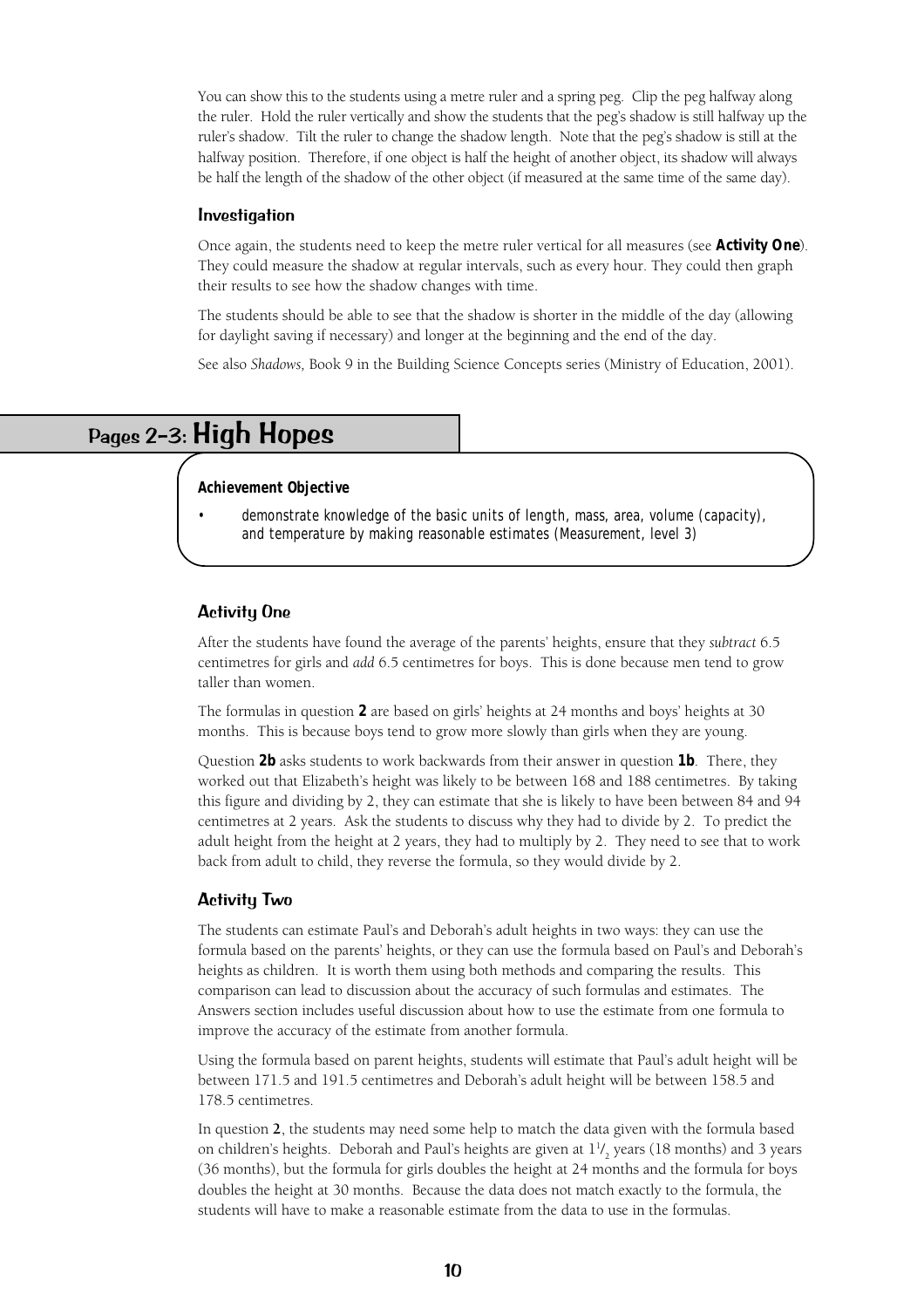You can show this to the students using a metre ruler and a spring peg. Clip the peg halfway along the ruler. Hold the ruler vertically and show the students that the peg's shadow is still halfway up the ruler's shadow. Tilt the ruler to change the shadow length. Note that the peg's shadow is still at the halfway position. Therefore, if one object is half the height of another object, its shadow will always be half the length of the shadow of the other object (if measured at the same time of the same day).

#### Investigation

Once again, the students need to keep the metre ruler vertical for all measures (see **Activity One**). They could measure the shadow at regular intervals, such as every hour. They could then graph their results to see how the shadow changes with time.

The students should be able to see that the shadow is shorter in the middle of the day (allowing for daylight saving if necessary) and longer at the beginning and the end of the day.

See also *Shadows,* Book 9 in the Building Science Concepts series (Ministry of Education, 2001).

# Pages 2–3: High Hopes

#### **Achievement Objective**

demonstrate knowledge of the basic units of length, mass, area, volume (capacity), and temperature by making reasonable estimates (Measurement, level 3)

#### Activity One

After the students have found the average of the parents' heights, ensure that they *subtract* 6.5 centimetres for girls and *add* 6.5 centimetres for boys. This is done because men tend to grow taller than women.

The formulas in question **2** are based on girls' heights at 24 months and boys' heights at 30 months. This is because boys tend to grow more slowly than girls when they are young.

Question **2b** asks students to work backwards from their answer in question **1b**. There, they worked out that Elizabeth's height was likely to be between 168 and 188 centimetres. By taking this figure and dividing by 2, they can estimate that she is likely to have been between 84 and 94 centimetres at 2 years. Ask the students to discuss why they had to divide by 2. To predict the adult height from the height at 2 years, they had to multiply by 2. They need to see that to work back from adult to child, they reverse the formula, so they would divide by 2.

#### Activity Two

The students can estimate Paul's and Deborah's adult heights in two ways: they can use the formula based on the parents' heights, or they can use the formula based on Paul's and Deborah's heights as children. It is worth them using both methods and comparing the results. This comparison can lead to discussion about the accuracy of such formulas and estimates. The Answers section includes useful discussion about how to use the estimate from one formula to improve the accuracy of the estimate from another formula.

Using the formula based on parent heights, students will estimate that Paul's adult height will be between 171.5 and 191.5 centimetres and Deborah's adult height will be between 158.5 and 178.5 centimetres.

In question **2**, the students may need some help to match the data given with the formula based on children's heights. Deborah and Paul's heights are given at  $1^1\prime_2$  years (18 months) and 3 years (36 months), but the formula for girls doubles the height at 24 months and the formula for boys doubles the height at 30 months. Because the data does not match exactly to the formula, the students will have to make a reasonable estimate from the data to use in the formulas.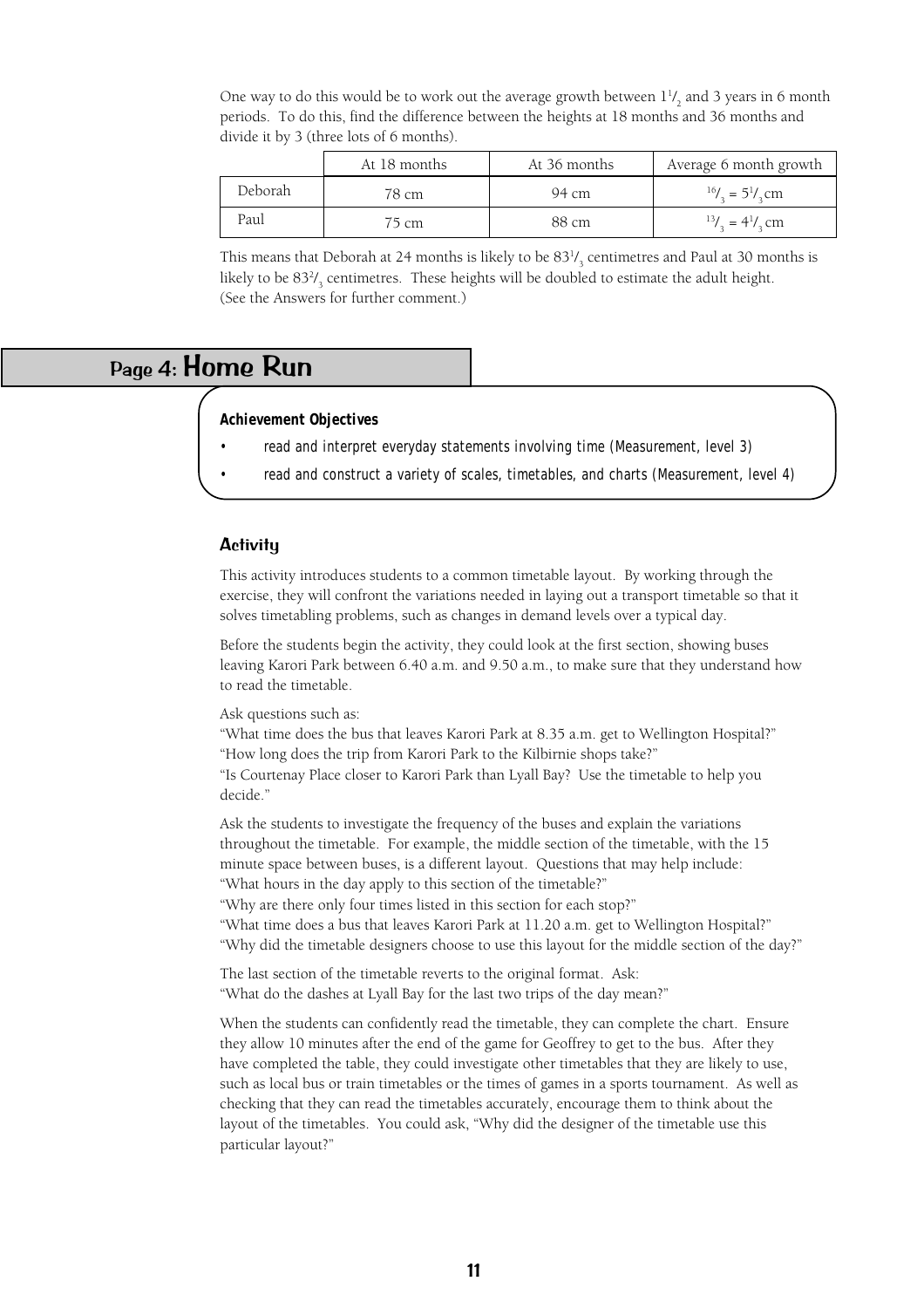|         | At 18 months      | At 36 months | Average 6 month growth                                    |
|---------|-------------------|--------------|-----------------------------------------------------------|
| Deborah | 78 cm             | 94 cm        | $16/2 = 51/2$ cm                                          |
| Paul    | $\frac{75}{5}$ cm | 88 cm        | $^{13}$ / <sub>2</sub> = 4 <sup>1</sup> / <sub>2</sub> cm |

One way to do this would be to work out the average growth between  $1^{1}$ /<sub>2</sub> and 3 years in 6 month periods. To do this, find the difference between the heights at 18 months and 36 months and divide it by 3 (three lots of 6 months).

This means that Deborah at 24 months is likely to be  $83\frac{1}{3}$  centimetres and Paul at 30 months is likely to be  $83\frac{2}{3}$  centimetres. These heights will be doubled to estimate the adult height. (See the Answers for further comment.)

### Page 4: Home Run

### **Achievement Objectives**

- read and interpret everyday statements involving time (Measurement, level 3)
- read and construct a variety of scales, timetables, and charts (Measurement, level 4)

### **Activity**

This activity introduces students to a common timetable layout. By working through the exercise, they will confront the variations needed in laying out a transport timetable so that it solves timetabling problems, such as changes in demand levels over a typical day.

Before the students begin the activity, they could look at the first section, showing buses leaving Karori Park between 6.40 a.m. and 9.50 a.m., to make sure that they understand how to read the timetable.

Ask questions such as:

"What time does the bus that leaves Karori Park at 8.35 a.m. get to Wellington Hospital?" "How long does the trip from Karori Park to the Kilbirnie shops take?" "Is Courtenay Place closer to Karori Park than Lyall Bay? Use the timetable to help you decide."

Ask the students to investigate the frequency of the buses and explain the variations throughout the timetable. For example, the middle section of the timetable, with the 15 minute space between buses, is a different layout. Questions that may help include: "What hours in the day apply to this section of the timetable?"

"Why are there only four times listed in this section for each stop?"

"What time does a bus that leaves Karori Park at 11.20 a.m. get to Wellington Hospital?" "Why did the timetable designers choose to use this layout for the middle section of the day?"

The last section of the timetable reverts to the original format. Ask: "What do the dashes at Lyall Bay for the last two trips of the day mean?"

When the students can confidently read the timetable, they can complete the chart. Ensure they allow 10 minutes after the end of the game for Geoffrey to get to the bus. After they have completed the table, they could investigate other timetables that they are likely to use, such as local bus or train timetables or the times of games in a sports tournament. As well as checking that they can read the timetables accurately, encourage them to think about the layout of the timetables. You could ask, "Why did the designer of the timetable use this particular layout?"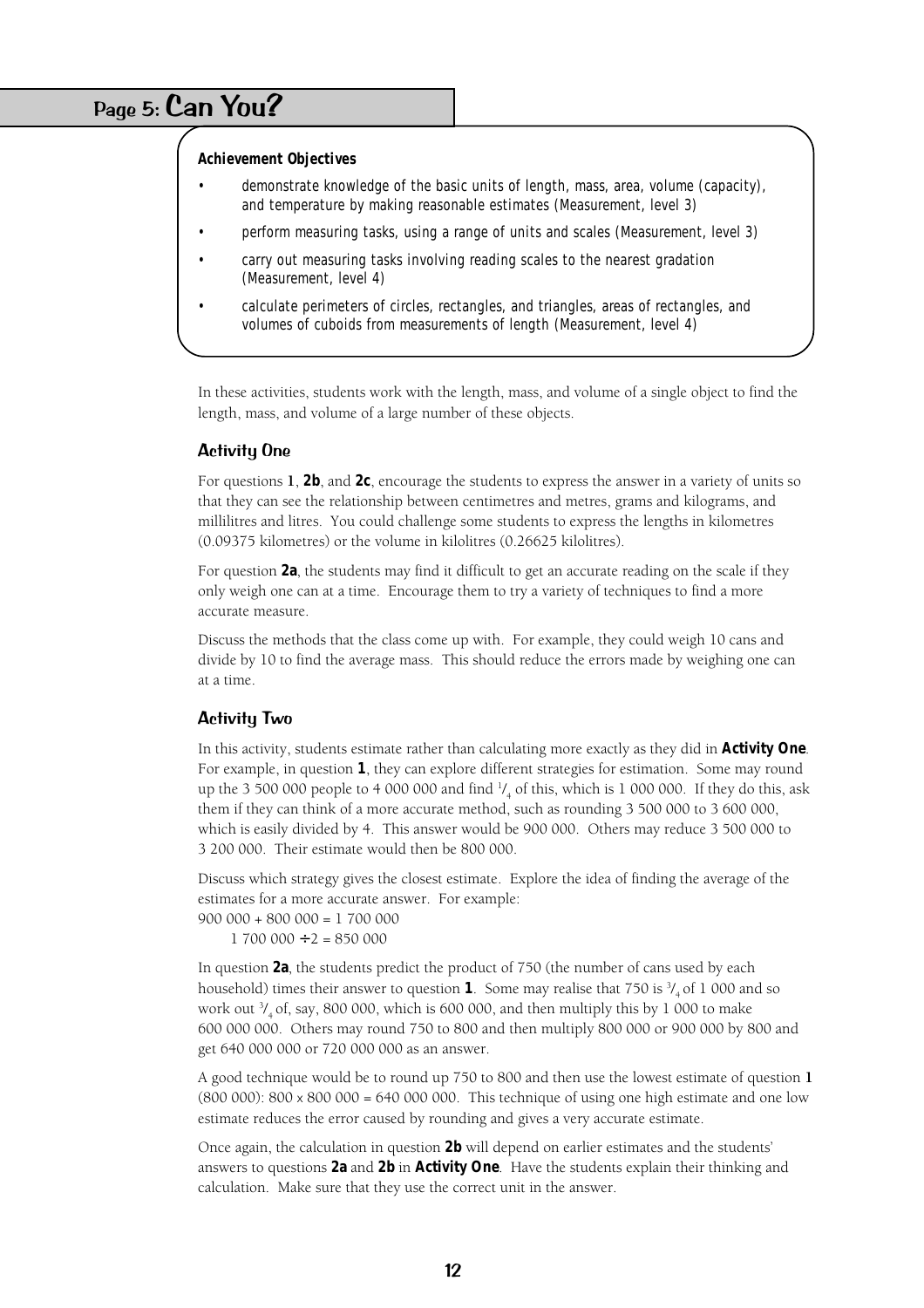# Page 5: Can You?

#### **Achievement Objectives**

- demonstrate knowledge of the basic units of length, mass, area, volume (capacity), and temperature by making reasonable estimates (Measurement, level 3)
- perform measuring tasks, using a range of units and scales (Measurement, level 3)
- carry out measuring tasks involving reading scales to the nearest gradation (Measurement, level 4)
- calculate perimeters of circles, rectangles, and triangles, areas of rectangles, and volumes of cuboids from measurements of length (Measurement, level 4)

In these activities, students work with the length, mass, and volume of a single object to find the length, mass, and volume of a large number of these objects.

#### Activity One

For questions **1**, **2b**, and **2c**, encourage the students to express the answer in a variety of units so that they can see the relationship between centimetres and metres, grams and kilograms, and millilitres and litres. You could challenge some students to express the lengths in kilometres (0.09375 kilometres) or the volume in kilolitres (0.26625 kilolitres).

For question **2a**, the students may find it difficult to get an accurate reading on the scale if they only weigh one can at a time. Encourage them to try a variety of techniques to find a more accurate measure.

Discuss the methods that the class come up with. For example, they could weigh 10 cans and divide by 10 to find the average mass. This should reduce the errors made by weighing one can at a time.

#### Activity Two

In this activity, students estimate rather than calculating more exactly as they did in **Activity One**. For example, in question **1**, they can explore different strategies for estimation. Some may round up the 3 500 000 people to 4 000 000 and find  $\frac{1}{4}$  of this, which is 1 000 000. If they do this, ask them if they can think of a more accurate method, such as rounding 3 500 000 to 3 600 000, which is easily divided by 4. This answer would be 900 000. Others may reduce 3 500 000 to 3 200 000. Their estimate would then be 800 000.

Discuss which strategy gives the closest estimate. Explore the idea of finding the average of the estimates for a more accurate answer. For example:

 $900\ 000 + 800\ 000 = 1\ 700\ 000$ 

 $1700000 \div 2 = 850000$ 

In question **2a**, the students predict the product of 750 (the number of cans used by each household) times their answer to question  $1$ . Some may realise that 750 is  $\frac{3}{4}$  of 1 000 and so work out  $\frac{3}{4}$  of, say, 800 000, which is 600 000, and then multiply this by 1 000 to make 600 000 000. Others may round 750 to 800 and then multiply 800 000 or 900 000 by 800 and get 640 000 000 or 720 000 000 as an answer.

A good technique would be to round up 750 to 800 and then use the lowest estimate of question **1**  $(800 000)$ :  $800 \times 800 000 = 640 000 000$ . This technique of using one high estimate and one low estimate reduces the error caused by rounding and gives a very accurate estimate.

Once again, the calculation in question **2b** will depend on earlier estimates and the students' answers to questions **2a** and **2b** in **Activity One**. Have the students explain their thinking and calculation. Make sure that they use the correct unit in the answer.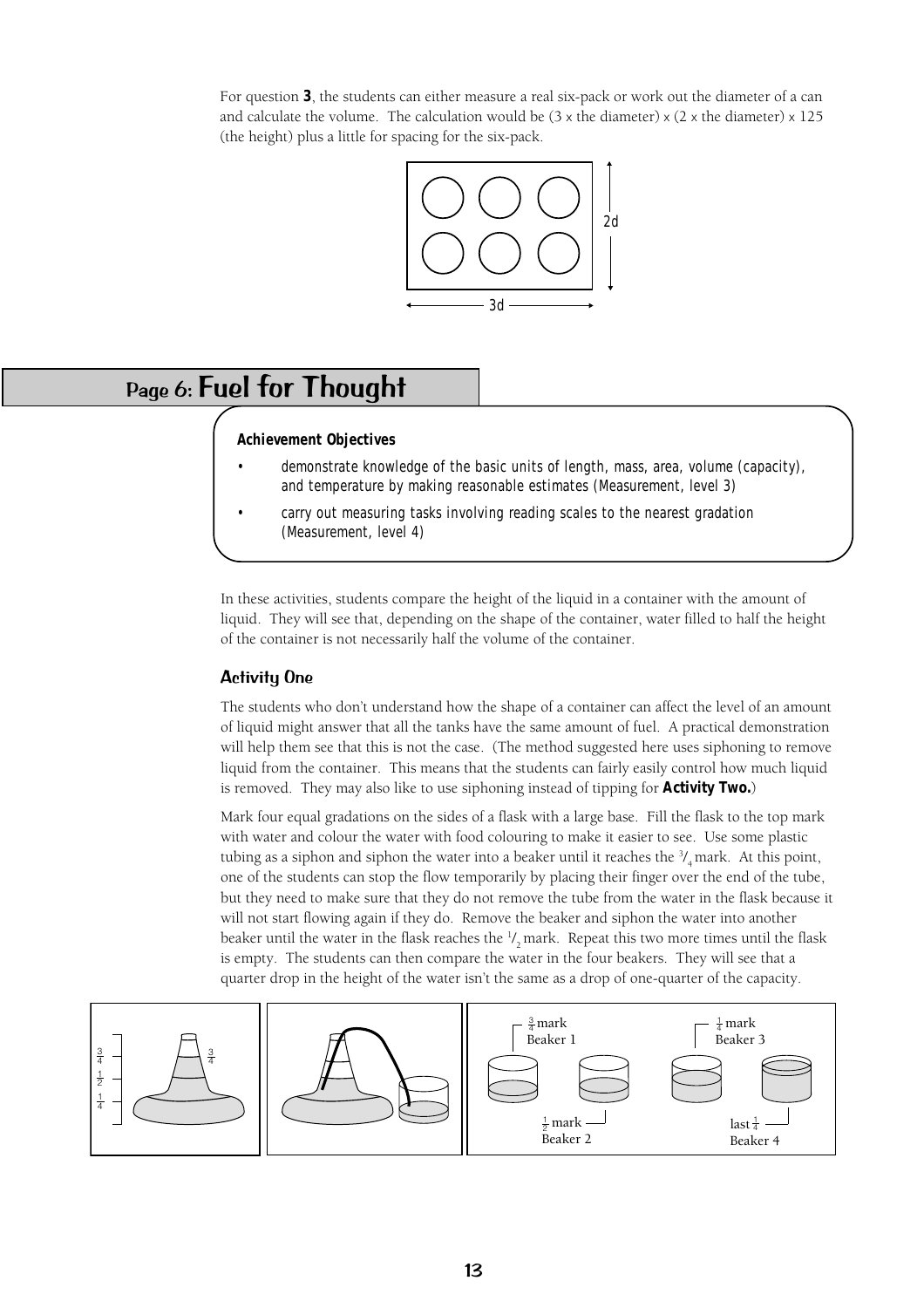For question **3**, the students can either measure a real six-pack or work out the diameter of a can and calculate the volume. The calculation would be  $(3 \times$  the diameter)  $\times$  (2  $\times$  the diameter)  $\times$  125 (the height) plus a little for spacing for the six-pack.



# Page 6: Fuel for Thought

#### **Achievement Objectives**

- demonstrate knowledge of the basic units of length, mass, area, volume (capacity), and temperature by making reasonable estimates (Measurement, level 3)
- carry out measuring tasks involving reading scales to the nearest gradation (Measurement, level 4)

In these activities, students compare the height of the liquid in a container with the amount of liquid. They will see that, depending on the shape of the container, water filled to half the height of the container is not necessarily half the volume of the container.

### Activity One

The students who don't understand how the shape of a container can affect the level of an amount of liquid might answer that all the tanks have the same amount of fuel. A practical demonstration will help them see that this is not the case. (The method suggested here uses siphoning to remove liquid from the container. This means that the students can fairly easily control how much liquid is removed. They may also like to use siphoning instead of tipping for **Activity Two.**)

Mark four equal gradations on the sides of a flask with a large base. Fill the flask to the top mark with water and colour the water with food colouring to make it easier to see. Use some plastic tubing as a siphon and siphon the water into a beaker until it reaches the  $\frac{3}{4}$  mark. At this point, one of the students can stop the flow temporarily by placing their finger over the end of the tube, but they need to make sure that they do not remove the tube from the water in the flask because it will not start flowing again if they do. Remove the beaker and siphon the water into another beaker until the water in the flask reaches the  $\frac{1}{2}$  mark. Repeat this two more times until the flask is empty. The students can then compare the water in the four beakers. They will see that a quarter drop in the height of the water isn't the same as a drop of one-quarter of the capacity.

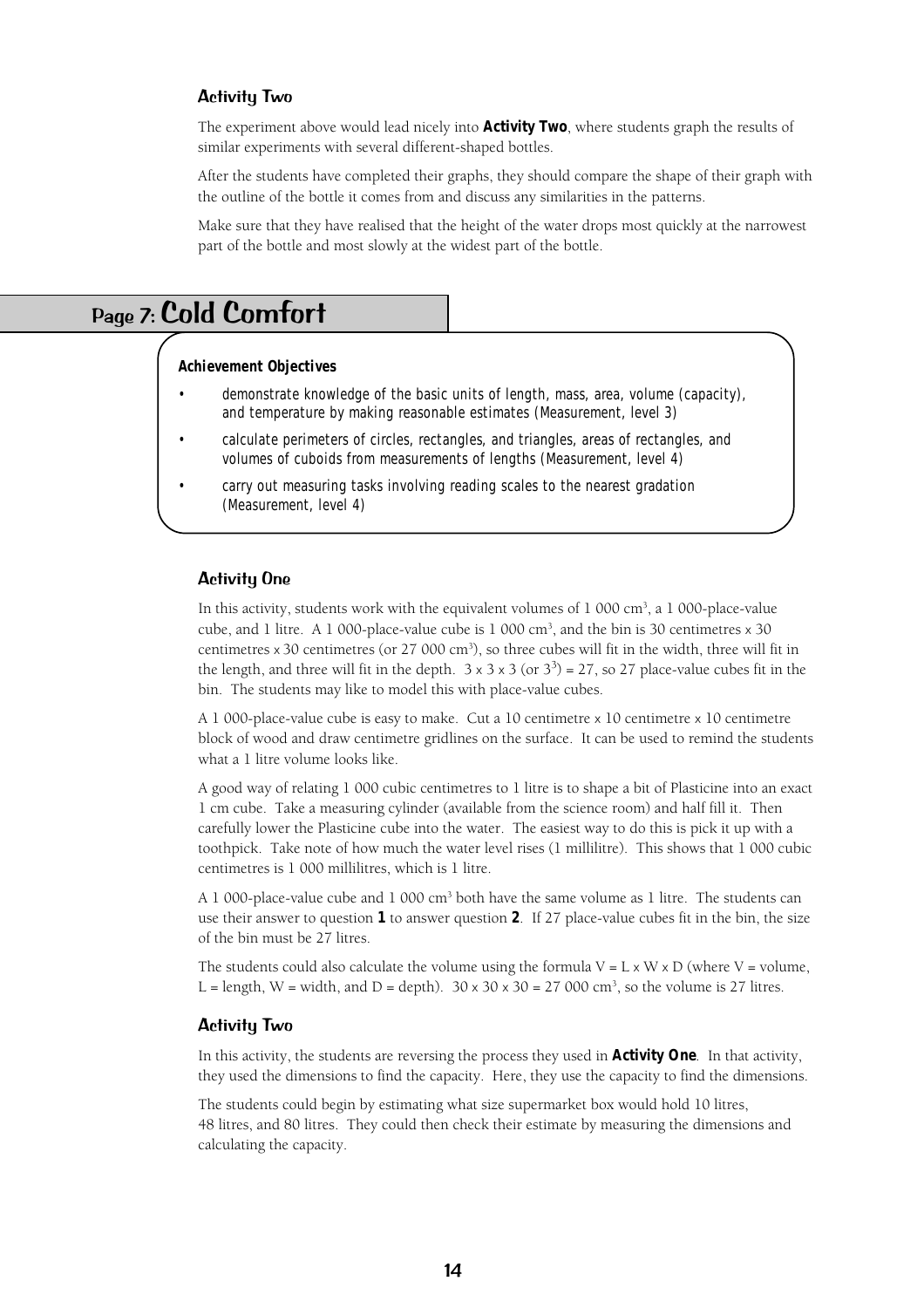#### Activity Two

The experiment above would lead nicely into **Activity Two**, where students graph the results of similar experiments with several different-shaped bottles.

After the students have completed their graphs, they should compare the shape of their graph with the outline of the bottle it comes from and discuss any similarities in the patterns.

Make sure that they have realised that the height of the water drops most quickly at the narrowest part of the bottle and most slowly at the widest part of the bottle.

# Page 7: Cold Comfort

#### **Achievement Objectives**

- demonstrate knowledge of the basic units of length, mass, area, volume (capacity), and temperature by making reasonable estimates (Measurement, level 3)
- calculate perimeters of circles, rectangles, and triangles, areas of rectangles, and volumes of cuboids from measurements of lengths (Measurement, level 4)
- carry out measuring tasks involving reading scales to the nearest gradation (Measurement, level 4)

#### Activity One

In this activity, students work with the equivalent volumes of  $1\ 000\ \text{cm}^3$ , a  $1\ 000\ \text{place-value}$ cube, and 1 litre. A 1 000-place-value cube is  $1\,000 \text{ cm}^3$ , and the bin is 30 centimetres  $\times$  30 centimetres x 30 centimetres (or 27 000 cm3 ), so three cubes will fit in the width, three will fit in the length, and three will fit in the depth.  $3 \times 3 \times 3$  (or  $3^3$ ) = 27, so 27 place-value cubes fit in the bin. The students may like to model this with place-value cubes.

A 1 000-place-value cube is easy to make. Cut a 10 centimetre x 10 centimetre x 10 centimetre block of wood and draw centimetre gridlines on the surface. It can be used to remind the students what a 1 litre volume looks like.

A good way of relating 1 000 cubic centimetres to 1 litre is to shape a bit of Plasticine into an exact 1 cm cube. Take a measuring cylinder (available from the science room) and half fill it. Then carefully lower the Plasticine cube into the water. The easiest way to do this is pick it up with a toothpick. Take note of how much the water level rises (1 millilitre). This shows that 1 000 cubic centimetres is 1 000 millilitres, which is 1 litre.

A 1 000-place-value cube and 1 000  $\text{cm}^3$  both have the same volume as 1 litre. The students can use their answer to question **1** to answer question **2**. If 27 place-value cubes fit in the bin, the size of the bin must be 27 litres.

The students could also calculate the volume using the formula  $V = L \times W \times D$  (where  $V =$  volume, L = length, W = width, and D = depth).  $30 \times 30 \times 30 = 27000 \text{ cm}^3$ , so the volume is 27 litres.

#### Activity Two

In this activity, the students are reversing the process they used in **Activity One**. In that activity, they used the dimensions to find the capacity. Here, they use the capacity to find the dimensions.

The students could begin by estimating what size supermarket box would hold 10 litres, 48 litres, and 80 litres. They could then check their estimate by measuring the dimensions and calculating the capacity.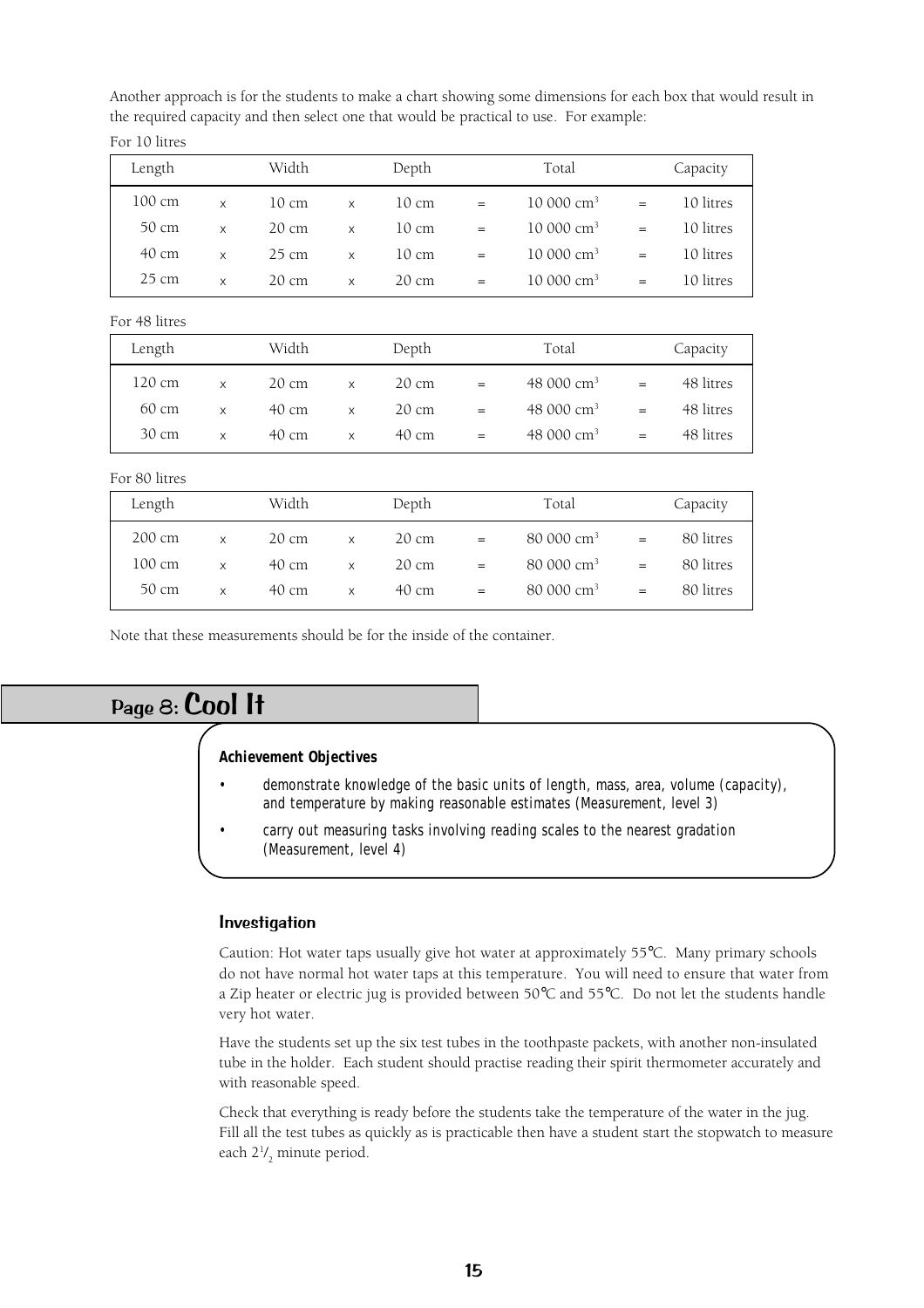Another approach is for the students to make a chart showing some dimensions for each box that would result in the required capacity and then select one that would be practical to use. For example:

| Length          |          | Width |   | Depth           |     | Total                |     | Capacity  |
|-----------------|----------|-------|---|-----------------|-----|----------------------|-----|-----------|
| 100 cm          | X        | 10 cm | X | 10 cm           | $=$ | $10000 \text{ cm}^3$ | $=$ | 10 litres |
| 50 cm           | X        | 20 cm | X | $10 \text{ cm}$ | $=$ | $10000 \text{ cm}^3$ | $=$ | 10 litres |
| 40 cm           | $\times$ | 25 cm | X | 10 cm           | $=$ | $10000 \text{ cm}^3$ | $=$ | 10 litres |
| $25 \text{ cm}$ | X        | 20 cm | X | $20 \text{ cm}$ | $=$ | $10000 \text{ cm}^3$ | =   | 10 litres |

For 48 litres

For 10 litres

| Length           |          | Width           |        | Depth             |     | Total                  |                          | Capacity            |
|------------------|----------|-----------------|--------|-------------------|-----|------------------------|--------------------------|---------------------|
| 120 cm           | $\times$ | $20 \text{ cm}$ | X      | $20 \text{ cm}$   | $=$ | 48 000 cm <sup>3</sup> | $=$                      | 48 litres           |
| 60 cm            | $\times$ | $40 \text{ cm}$ | X      | $20 \text{ cm}$   | $=$ | 48 000 cm <sup>3</sup> | $=$                      | 48 litres           |
| 30 cm            | $\times$ | 40 cm           | X      | 40 cm             | $=$ | 48 000 cm <sup>3</sup> | $=$                      | 48 litres           |
| For 80 litres    |          |                 |        |                   |     |                        |                          |                     |
| Length           |          | Width           |        | Depth             |     | Total                  |                          | Capacity            |
| $200 \text{ cm}$ | $\vee$   | 20cm            | $\vee$ | $20 \, \text{cm}$ |     | $80.000 \text{ cm}^3$  | $\overline{\phantom{0}}$ | $80 \text{ litres}$ |

|  | $200 \text{ cm}$ x $20 \text{ cm}$ x $20 \text{ cm}$ = |  | $80\,000\,\mathrm{cm}^3$ =                                                                          | 80 litres |
|--|--------------------------------------------------------|--|-----------------------------------------------------------------------------------------------------|-----------|
|  |                                                        |  | $100 \text{ cm}$ x $40 \text{ cm}$ x $20 \text{ cm}$ = $80\,000 \text{ cm}^3$ = $80 \text{ litres}$ |           |
|  |                                                        |  | 50 cm $x$ 40 cm $x$ 40 cm = 80 000 cm <sup>3</sup> = 80 litres                                      |           |
|  |                                                        |  |                                                                                                     |           |

Note that these measurements should be for the inside of the container.

# Page 8: Cool It

#### **Achievement Objectives**

- demonstrate knowledge of the basic units of length, mass, area, volume (capacity), and temperature by making reasonable estimates (Measurement, level 3)
- carry out measuring tasks involving reading scales to the nearest gradation (Measurement, level 4)

#### Investigation

Caution: Hot water taps usually give hot water at approximately 55°C. Many primary schools do not have normal hot water taps at this temperature. You will need to ensure that water from a Zip heater or electric jug is provided between 50°C and 55°C. Do not let the students handle very hot water.

Have the students set up the six test tubes in the toothpaste packets, with another non-insulated tube in the holder. Each student should practise reading their spirit thermometer accurately and with reasonable speed.

Check that everything is ready before the students take the temperature of the water in the jug. Fill all the test tubes as quickly as is practicable then have a student start the stopwatch to measure each 21 / 2 minute period.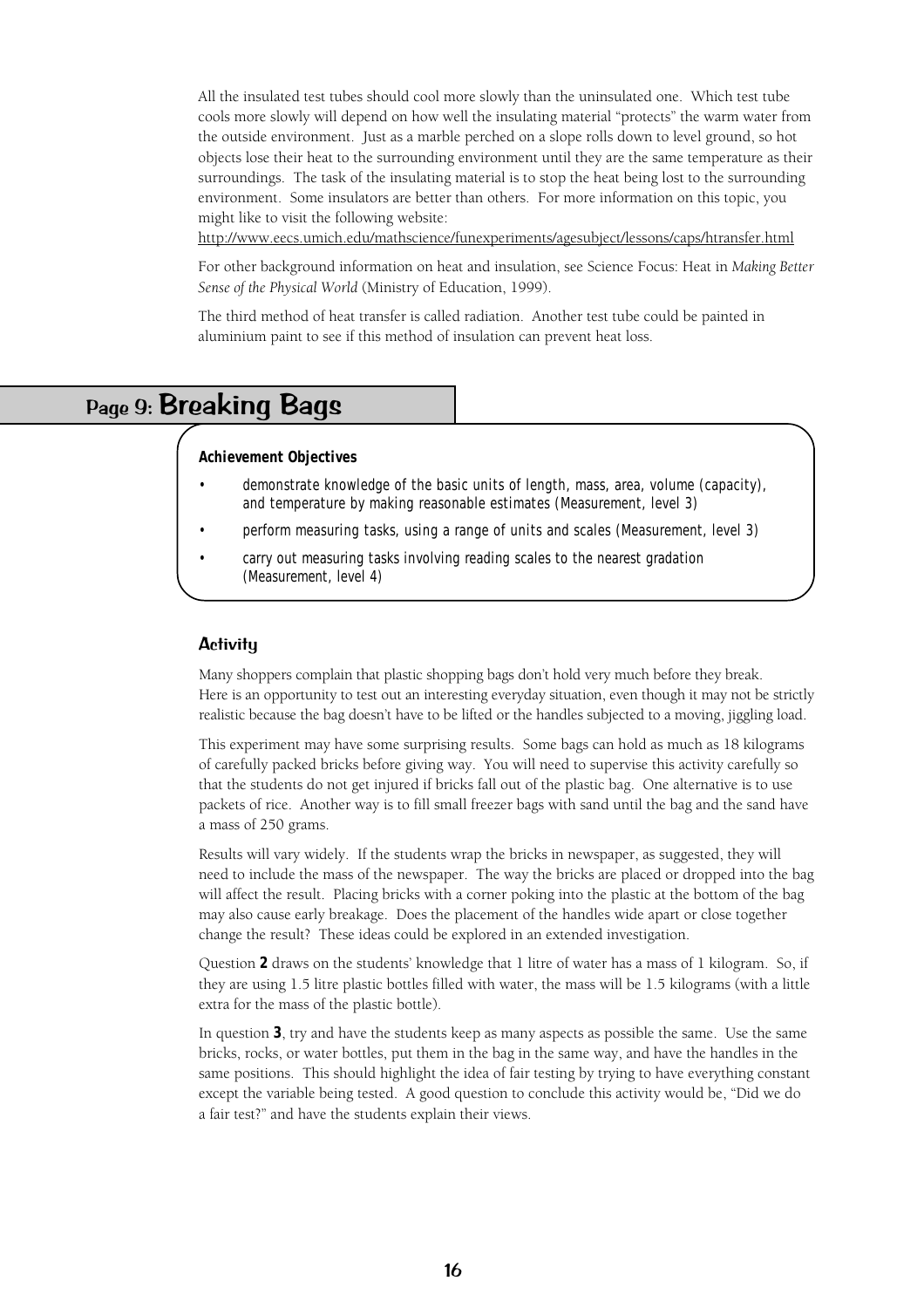All the insulated test tubes should cool more slowly than the uninsulated one. Which test tube cools more slowly will depend on how well the insulating material "protects" the warm water from the outside environment. Just as a marble perched on a slope rolls down to level ground, so hot objects lose their heat to the surrounding environment until they are the same temperature as their surroundings. The task of the insulating material is to stop the heat being lost to the surrounding environment. Some insulators are better than others. For more information on this topic, you might like to visit the following website:

http://www.eecs.umich.edu/mathscience/funexperiments/agesubject/lessons/caps/htransfer.html

For other background information on heat and insulation, see Science Focus: Heat in *Making Better Sense of the Physical World* (Ministry of Education, 1999).

The third method of heat transfer is called radiation. Another test tube could be painted in aluminium paint to see if this method of insulation can prevent heat loss.

# Page 9: Breaking Bags

#### **Achievement Objectives**

- demonstrate knowledge of the basic units of length, mass, area, volume (capacity), and temperature by making reasonable estimates (Measurement, level 3)
- perform measuring tasks, using a range of units and scales (Measurement, level 3)
- carry out measuring tasks involving reading scales to the nearest gradation (Measurement, level 4)

#### **Activitu**

Many shoppers complain that plastic shopping bags don't hold very much before they break. Here is an opportunity to test out an interesting everyday situation, even though it may not be strictly realistic because the bag doesn't have to be lifted or the handles subjected to a moving, jiggling load.

This experiment may have some surprising results. Some bags can hold as much as 18 kilograms of carefully packed bricks before giving way. You will need to supervise this activity carefully so that the students do not get injured if bricks fall out of the plastic bag. One alternative is to use packets of rice. Another way is to fill small freezer bags with sand until the bag and the sand have a mass of 250 grams.

Results will vary widely. If the students wrap the bricks in newspaper, as suggested, they will need to include the mass of the newspaper. The way the bricks are placed or dropped into the bag will affect the result. Placing bricks with a corner poking into the plastic at the bottom of the bag may also cause early breakage. Does the placement of the handles wide apart or close together change the result? These ideas could be explored in an extended investigation.

Question **2** draws on the students' knowledge that 1 litre of water has a mass of 1 kilogram. So, if they are using 1.5 litre plastic bottles filled with water, the mass will be 1.5 kilograms (with a little extra for the mass of the plastic bottle).

In question **3**, try and have the students keep as many aspects as possible the same. Use the same bricks, rocks, or water bottles, put them in the bag in the same way, and have the handles in the same positions. This should highlight the idea of fair testing by trying to have everything constant except the variable being tested. A good question to conclude this activity would be, "Did we do a fair test?" and have the students explain their views.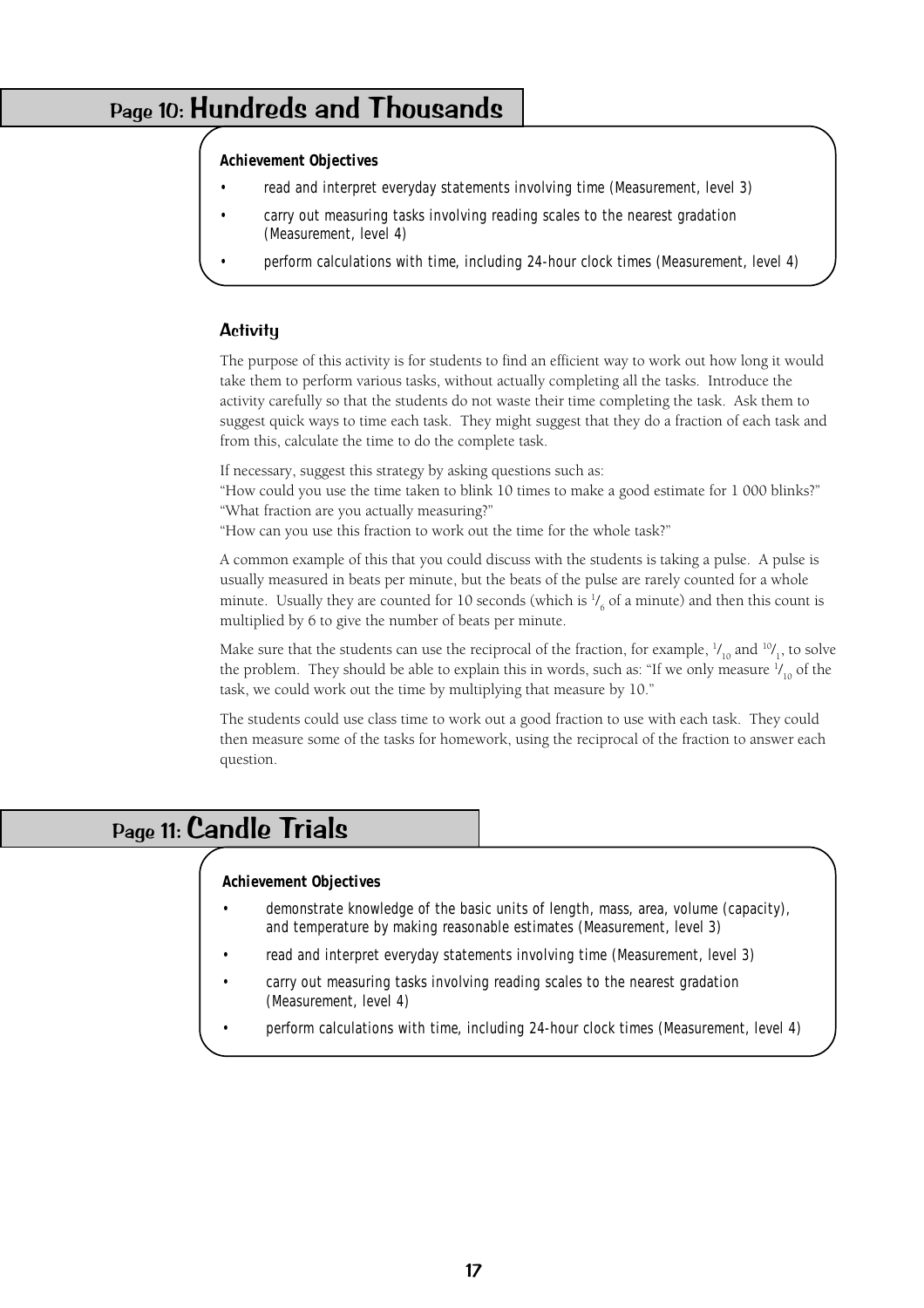# Page 10: Hundreds and Thousands

#### **Achievement Objectives**

- read and interpret everyday statements involving time (Measurement, level 3)
- carry out measuring tasks involving reading scales to the nearest gradation (Measurement, level 4)
- perform calculations with time, including 24-hour clock times (Measurement, level 4)

### **Activity**

The purpose of this activity is for students to find an efficient way to work out how long it would take them to perform various tasks, without actually completing all the tasks. Introduce the activity carefully so that the students do not waste their time completing the task. Ask them to suggest quick ways to time each task. They might suggest that they do a fraction of each task and from this, calculate the time to do the complete task.

If necessary, suggest this strategy by asking questions such as:

"How could you use the time taken to blink 10 times to make a good estimate for 1 000 blinks?" "What fraction are you actually measuring?"

"How can you use this fraction to work out the time for the whole task?"

A common example of this that you could discuss with the students is taking a pulse. A pulse is usually measured in beats per minute, but the beats of the pulse are rarely counted for a whole minute. Usually they are counted for 10 seconds (which is  $\frac{1}{6}$  of a minute) and then this count is multiplied by 6 to give the number of beats per minute.

Make sure that the students can use the reciprocal of the fraction, for example,  $\frac{1}{10}$  and  $\frac{10}{11}$ , to solve the problem. They should be able to explain this in words, such as: "If we only measure  $\frac{1}{10}$  of the task, we could work out the time by multiplying that measure by 10."

The students could use class time to work out a good fraction to use with each task. They could then measure some of the tasks for homework, using the reciprocal of the fraction to answer each question.

# Page 11: Candle Trials

### **Achievement Objectives**

- demonstrate knowledge of the basic units of length, mass, area, volume (capacity), and temperature by making reasonable estimates (Measurement, level 3)
- read and interpret everyday statements involving time (Measurement, level 3)
- carry out measuring tasks involving reading scales to the nearest gradation (Measurement, level 4)
- perform calculations with time, including 24-hour clock times (Measurement, level 4)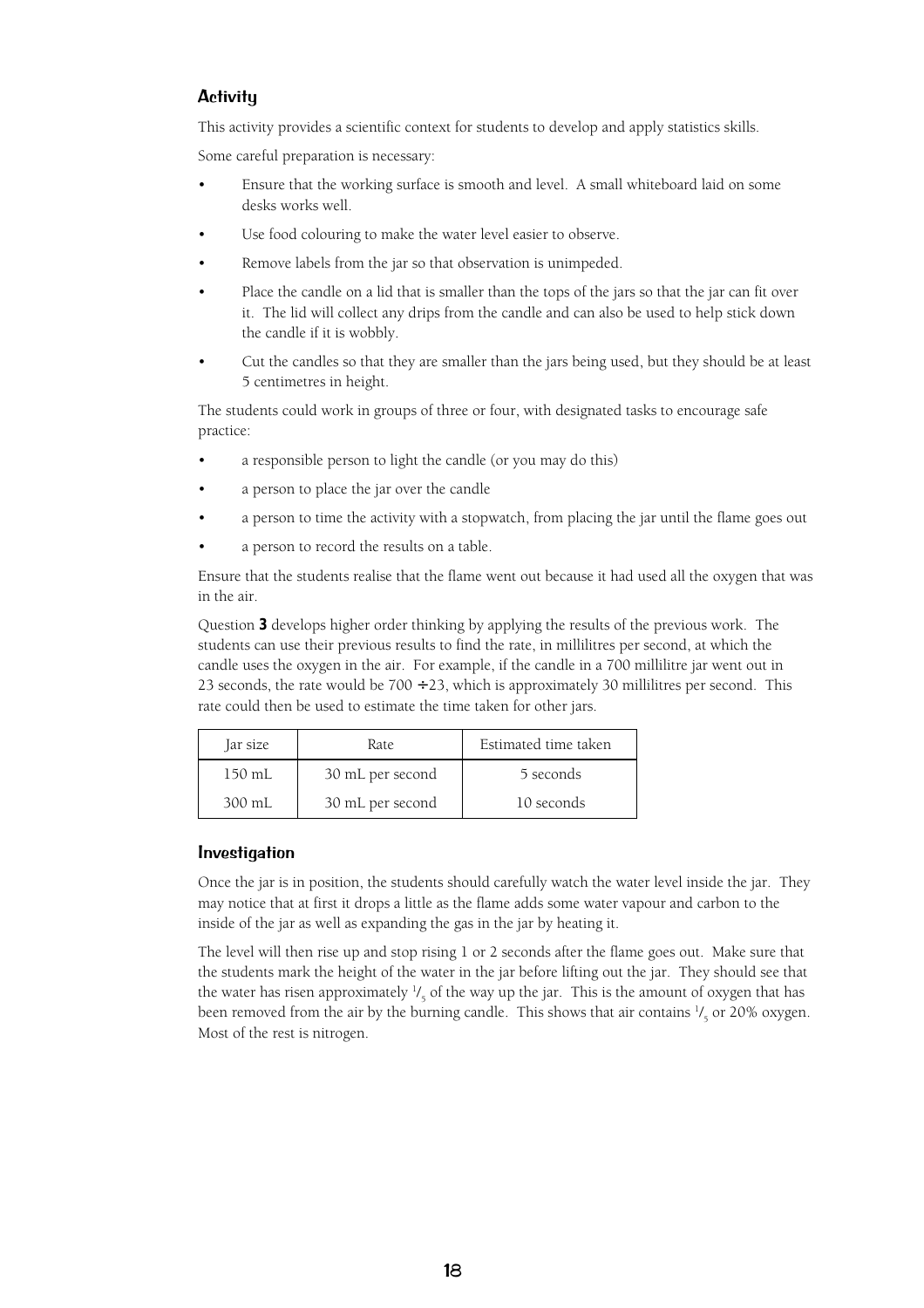### **Activity**

This activity provides a scientific context for students to develop and apply statistics skills.

Some careful preparation is necessary:

- Ensure that the working surface is smooth and level. A small whiteboard laid on some desks works well.
- Use food colouring to make the water level easier to observe.
- Remove labels from the jar so that observation is unimpeded.
- Place the candle on a lid that is smaller than the tops of the jars so that the jar can fit over it. The lid will collect any drips from the candle and can also be used to help stick down the candle if it is wobbly.
- Cut the candles so that they are smaller than the jars being used, but they should be at least 5 centimetres in height.

The students could work in groups of three or four, with designated tasks to encourage safe practice:

- a responsible person to light the candle (or you may do this)
- a person to place the jar over the candle
- a person to time the activity with a stopwatch, from placing the jar until the flame goes out
- a person to record the results on a table.

Ensure that the students realise that the flame went out because it had used all the oxygen that was in the air.

Question **3** develops higher order thinking by applying the results of the previous work. The students can use their previous results to find the rate, in millilitres per second, at which the candle uses the oxygen in the air. For example, if the candle in a 700 millilitre jar went out in 23 seconds, the rate would be  $700 \div 23$ , which is approximately 30 millilitres per second. This rate could then be used to estimate the time taken for other jars.

| Jar size | Rate.            | Estimated time taken |  |  |
|----------|------------------|----------------------|--|--|
| 150 mL   | 30 mL per second | 5 seconds            |  |  |
| 300 mL   | 30 mL per second | 10 seconds           |  |  |

#### Investigation

Once the jar is in position, the students should carefully watch the water level inside the jar. They may notice that at first it drops a little as the flame adds some water vapour and carbon to the inside of the jar as well as expanding the gas in the jar by heating it.

The level will then rise up and stop rising 1 or 2 seconds after the flame goes out. Make sure that the students mark the height of the water in the jar before lifting out the jar. They should see that the water has risen approximately  $\frac{1}{5}$  of the way up the jar. This is the amount of oxygen that has been removed from the air by the burning candle. This shows that air contains  $\frac{1}{5}$  or 20% oxygen. Most of the rest is nitrogen.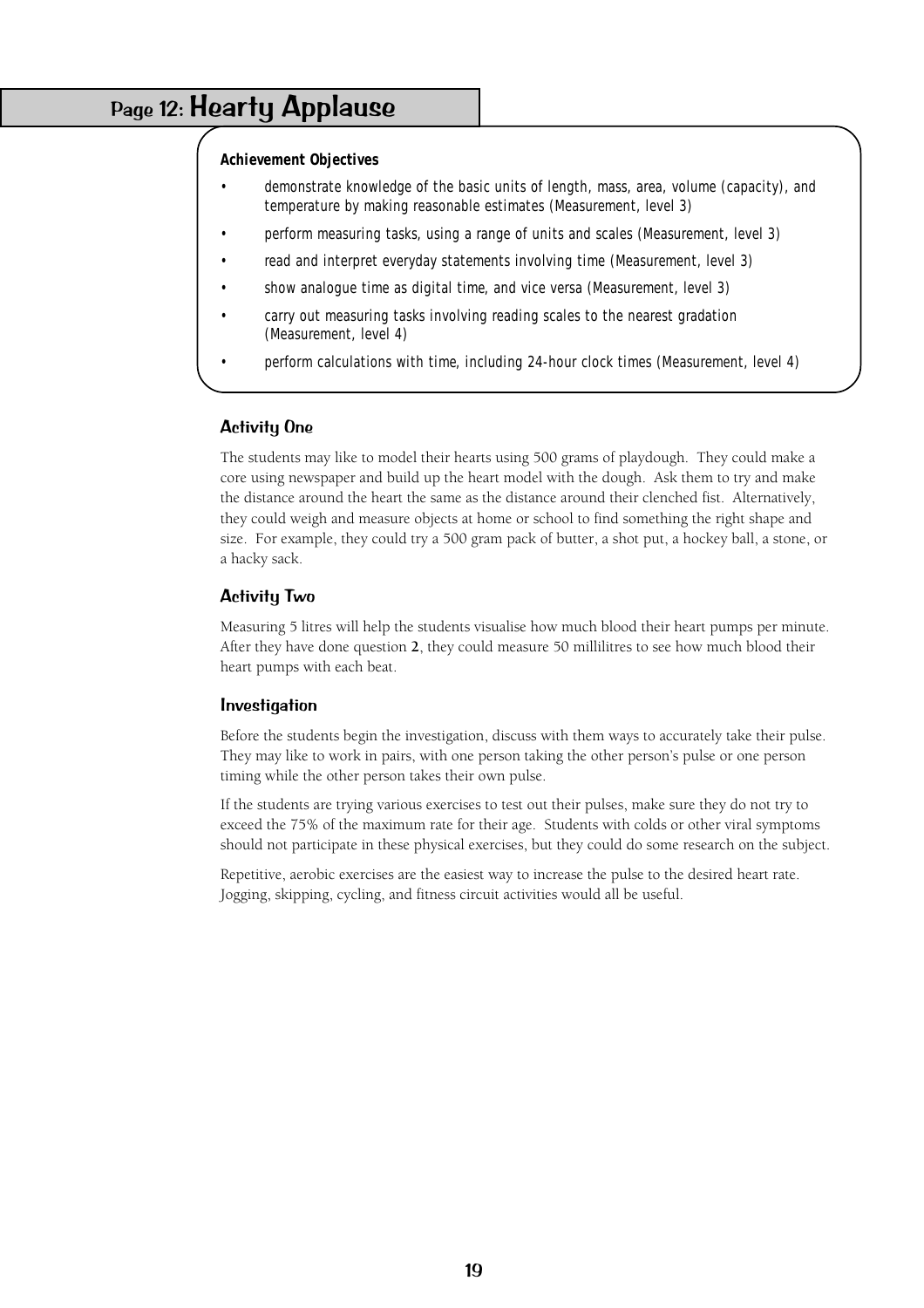## Page 12: Hearty Applause

#### **Achievement Objectives**

- demonstrate knowledge of the basic units of length, mass, area, volume (capacity), and temperature by making reasonable estimates (Measurement, level 3)
- perform measuring tasks, using a range of units and scales (Measurement, level 3)
- read and interpret everyday statements involving time (Measurement, level 3)
- show analogue time as digital time, and vice versa (Measurement, level 3)
- carry out measuring tasks involving reading scales to the nearest gradation (Measurement, level 4)
- perform calculations with time, including 24-hour clock times (Measurement, level 4)

### Activity One

The students may like to model their hearts using 500 grams of playdough. They could make a core using newspaper and build up the heart model with the dough. Ask them to try and make the distance around the heart the same as the distance around their clenched fist. Alternatively, they could weigh and measure objects at home or school to find something the right shape and size. For example, they could try a 500 gram pack of butter, a shot put, a hockey ball, a stone, or a hacky sack.

### Activity Two

Measuring 5 litres will help the students visualise how much blood their heart pumps per minute. After they have done question **2**, they could measure 50 millilitres to see how much blood their heart pumps with each beat.

#### **Investigation**

Before the students begin the investigation, discuss with them ways to accurately take their pulse. They may like to work in pairs, with one person taking the other person's pulse or one person timing while the other person takes their own pulse.

If the students are trying various exercises to test out their pulses, make sure they do not try to exceed the 75% of the maximum rate for their age. Students with colds or other viral symptoms should not participate in these physical exercises, but they could do some research on the subject.

Repetitive, aerobic exercises are the easiest way to increase the pulse to the desired heart rate. Jogging, skipping, cycling, and fitness circuit activities would all be useful.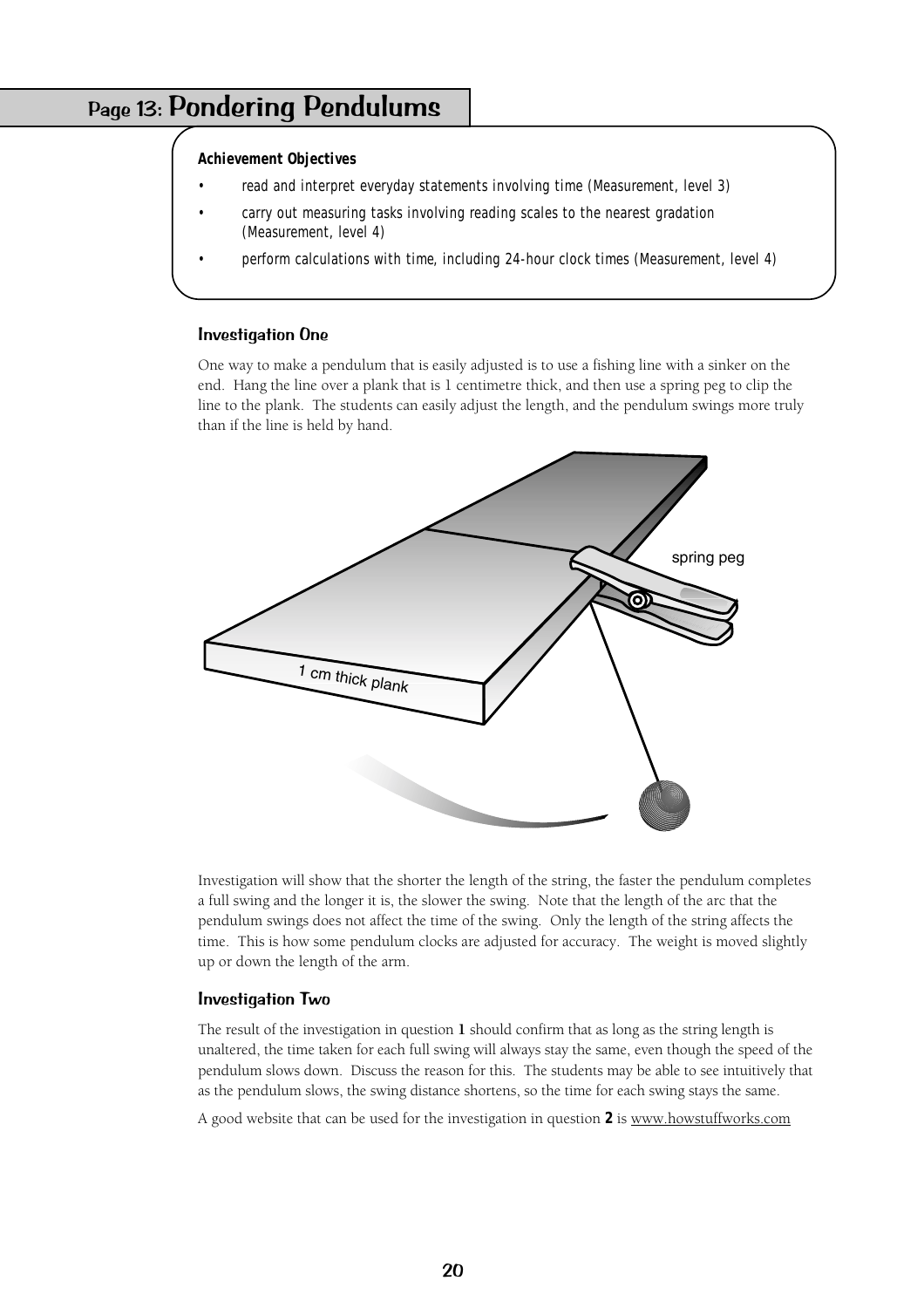# Page 13: Pondering Pendulums

#### **Achievement Objectives**

- read and interpret everyday statements involving time (Measurement, level 3)
- carry out measuring tasks involving reading scales to the nearest gradation (Measurement, level 4)
- perform calculations with time, including 24-hour clock times (Measurement, level 4)

#### Investigation One

One way to make a pendulum that is easily adjusted is to use a fishing line with a sinker on the end. Hang the line over a plank that is 1 centimetre thick, and then use a spring peg to clip the line to the plank. The students can easily adjust the length, and the pendulum swings more truly than if the line is held by hand.



Investigation will show that the shorter the length of the string, the faster the pendulum completes a full swing and the longer it is, the slower the swing. Note that the length of the arc that the pendulum swings does not affect the time of the swing. Only the length of the string affects the time. This is how some pendulum clocks are adjusted for accuracy. The weight is moved slightly up or down the length of the arm.

#### Investigation Two

The result of the investigation in question **1** should confirm that as long as the string length is unaltered, the time taken for each full swing will always stay the same, even though the speed of the pendulum slows down. Discuss the reason for this. The students may be able to see intuitively that as the pendulum slows, the swing distance shortens, so the time for each swing stays the same.

A good website that can be used for the investigation in question **2** is www.howstuffworks.com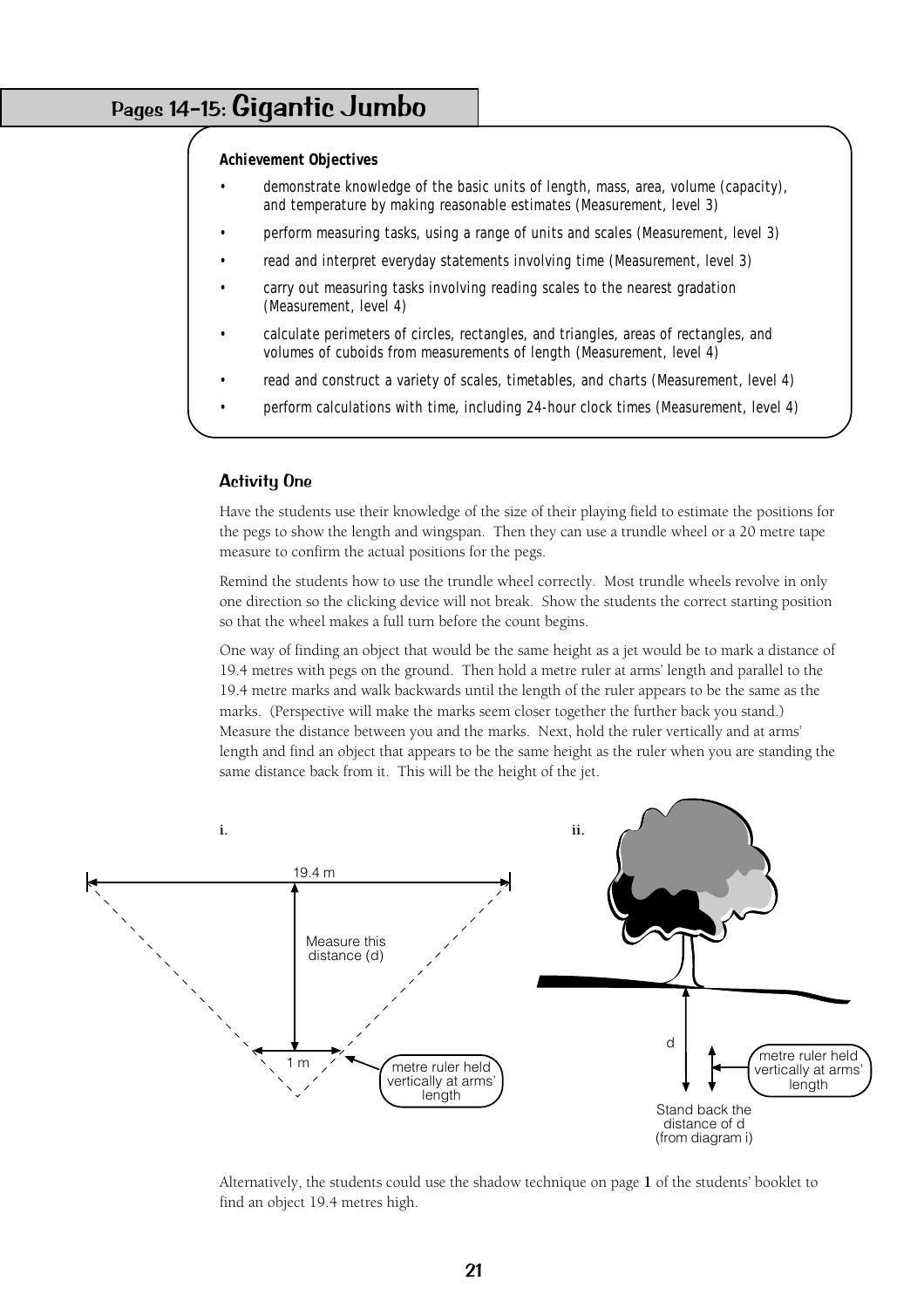# Pages 14–15: Gigantic Jumbo

#### **Achievement Objectives**

- demonstrate knowledge of the basic units of length, mass, area, volume (capacity), and temperature by making reasonable estimates (Measurement, level 3)
- perform measuring tasks, using a range of units and scales (Measurement, level 3)
- read and interpret everyday statements involving time (Measurement, level 3)
- carry out measuring tasks involving reading scales to the nearest gradation (Measurement, level 4)
- calculate perimeters of circles, rectangles, and triangles, areas of rectangles, and volumes of cuboids from measurements of length (Measurement, level 4)
- read and construct a variety of scales, timetables, and charts (Measurement, level 4)
	- perform calculations with time, including 24-hour clock times (Measurement, level 4)

#### Activity One

Have the students use their knowledge of the size of their playing field to estimate the positions for the pegs to show the length and wingspan. Then they can use a trundle wheel or a 20 metre tape measure to confirm the actual positions for the pegs.

Remind the students how to use the trundle wheel correctly. Most trundle wheels revolve in only one direction so the clicking device will not break. Show the students the correct starting position so that the wheel makes a full turn before the count begins.

One way of finding an object that would be the same height as a jet would be to mark a distance of 19.4 metres with pegs on the ground. Then hold a metre ruler at arms' length and parallel to the 19.4 metre marks and walk backwards until the length of the ruler appears to be the same as the marks. (Perspective will make the marks seem closer together the further back you stand.) Measure the distance between you and the marks. Next, hold the ruler vertically and at arms' length and find an object that appears to be the same height as the ruler when you are standing the same distance back from it. This will be the height of the jet.



Alternatively, the students could use the shadow technique on page **1** of the students' booklet to find an object 19.4 metres high.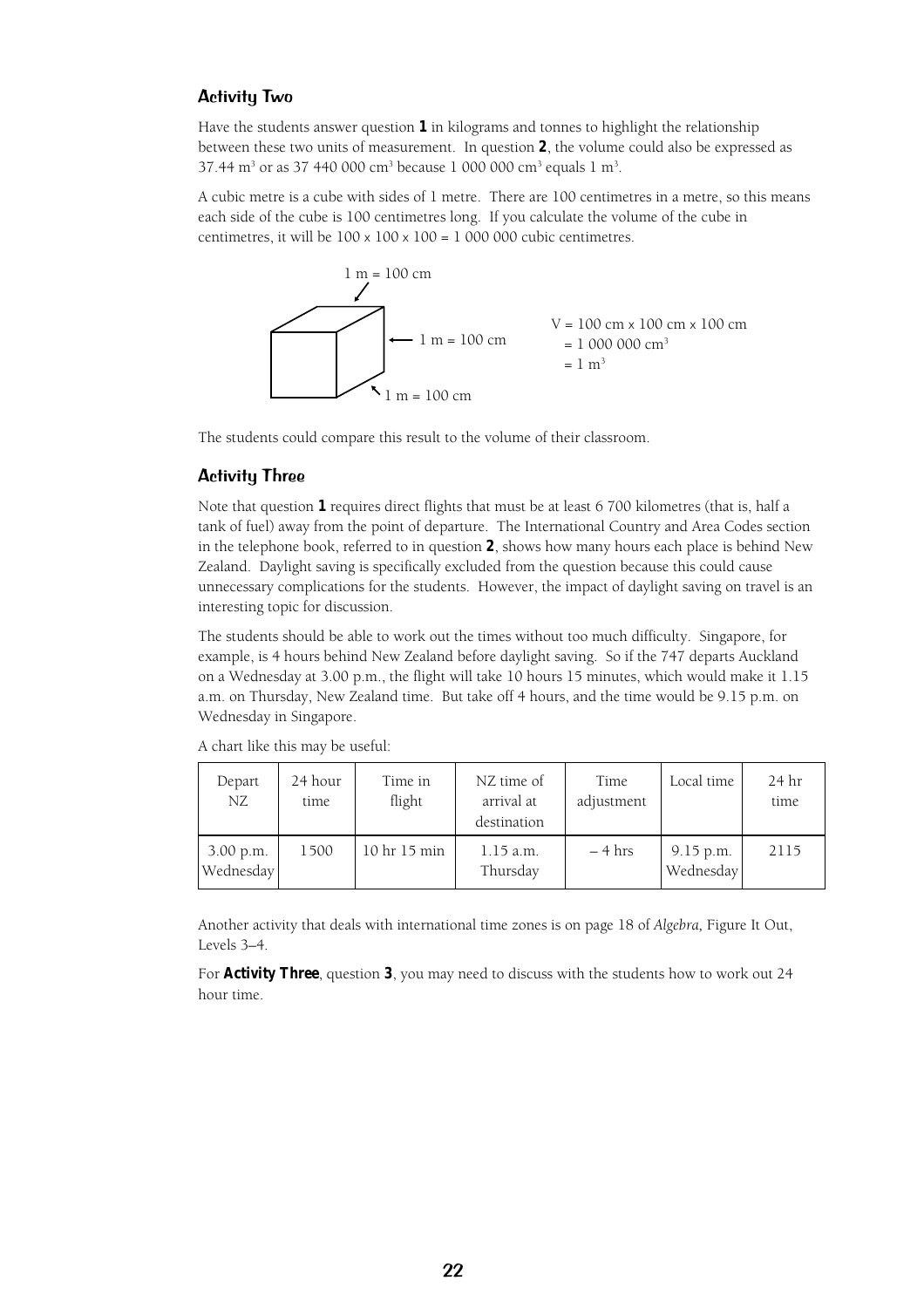#### Activity Two

Have the students answer question **1** in kilograms and tonnes to highlight the relationship between these two units of measurement. In question **2**, the volume could also be expressed as 37.44 m<sup>3</sup> or as 37 440 000 cm<sup>3</sup> because 1 000 000 cm<sup>3</sup> equals 1 m<sup>3</sup>.

A cubic metre is a cube with sides of 1 metre. There are 100 centimetres in a metre, so this means each side of the cube is 100 centimetres long. If you calculate the volume of the cube in centimetres, it will be  $100 \times 100 \times 100 = 1000000$  cubic centimetres.



The students could compare this result to the volume of their classroom.

#### Activity Three

Note that question **1** requires direct flights that must be at least 6 700 kilometres (that is, half a tank of fuel) away from the point of departure. The International Country and Area Codes section in the telephone book, referred to in question **2**, shows how many hours each place is behind New Zealand. Daylight saving is specifically excluded from the question because this could cause unnecessary complications for the students. However, the impact of daylight saving on travel is an interesting topic for discussion.

The students should be able to work out the times without too much difficulty. Singapore, for example, is 4 hours behind New Zealand before daylight saving. So if the 747 departs Auckland on a Wednesday at 3.00 p.m., the flight will take 10 hours 15 minutes, which would make it 1.15 a.m. on Thursday, New Zealand time. But take off 4 hours, and the time would be 9.15 p.m. on Wednesday in Singapore.

| Depart<br>NZ           | 24 hour<br>time | Time in<br>flight | NZ time of<br>arrival at<br>destination | Time<br>adjustment | Local time               | 24 hr<br>time |
|------------------------|-----------------|-------------------|-----------------------------------------|--------------------|--------------------------|---------------|
| 3.00 p.m.<br>Wednesday | 1500            | 10 hr 15 min      | $1.15$ a.m.<br>Thursday                 | $-4$ hrs           | $9.15$ p.m.<br>Wednesday | 2115          |

A chart like this may be useful:

Another activity that deals with international time zones is on page 18 of *Algebra,* Figure It Out, Levels 3–4.

For **Activity Three**, question **3**, you may need to discuss with the students how to work out 24 hour time.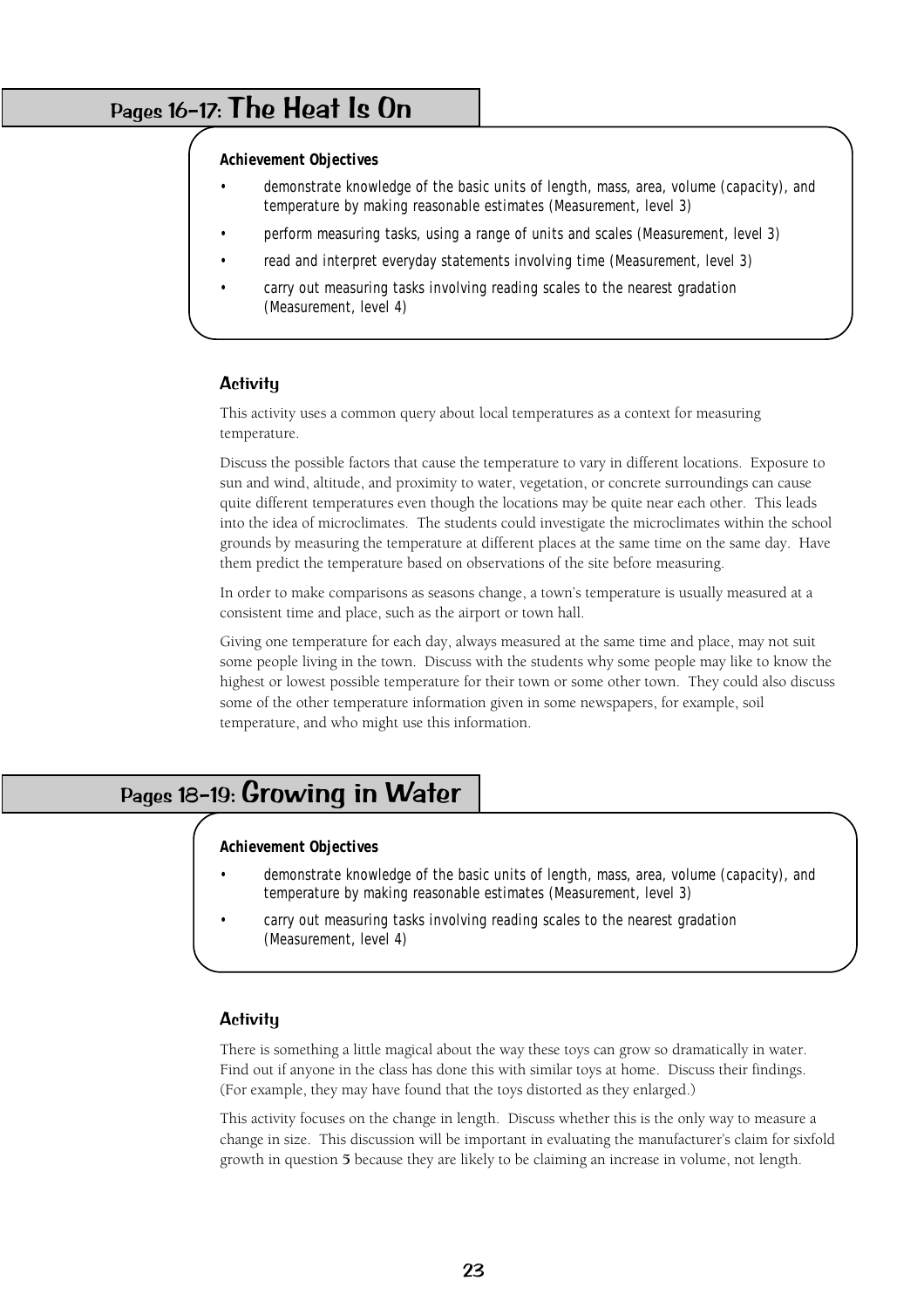# Pages 16–17: The Heat Is On

#### **Achievement Objectives**

- demonstrate knowledge of the basic units of length, mass, area, volume (capacity), and temperature by making reasonable estimates (Measurement, level 3)
- perform measuring tasks, using a range of units and scales (Measurement, level 3)
- read and interpret everyday statements involving time (Measurement, level 3)
- carry out measuring tasks involving reading scales to the nearest gradation (Measurement, level 4)

#### **Activity**

This activity uses a common query about local temperatures as a context for measuring temperature.

Discuss the possible factors that cause the temperature to vary in different locations. Exposure to sun and wind, altitude, and proximity to water, vegetation, or concrete surroundings can cause quite different temperatures even though the locations may be quite near each other. This leads into the idea of microclimates. The students could investigate the microclimates within the school grounds by measuring the temperature at different places at the same time on the same day. Have them predict the temperature based on observations of the site before measuring.

In order to make comparisons as seasons change, a town's temperature is usually measured at a consistent time and place, such as the airport or town hall.

Giving one temperature for each day, always measured at the same time and place, may not suit some people living in the town. Discuss with the students why some people may like to know the highest or lowest possible temperature for their town or some other town. They could also discuss some of the other temperature information given in some newspapers, for example, soil temperature, and who might use this information.

# Pages 18–19: Growing in Water

#### **Achievement Objectives**

- demonstrate knowledge of the basic units of length, mass, area, volume (capacity), and temperature by making reasonable estimates (Measurement, level 3)
- carry out measuring tasks involving reading scales to the nearest gradation (Measurement, level 4)

#### **Activity**

There is something a little magical about the way these toys can grow so dramatically in water. Find out if anyone in the class has done this with similar toys at home. Discuss their findings. (For example, they may have found that the toys distorted as they enlarged.)

This activity focuses on the change in length. Discuss whether this is the only way to measure a change in size. This discussion will be important in evaluating the manufacturer's claim for sixfold growth in question **5** because they are likely to be claiming an increase in volume, not length.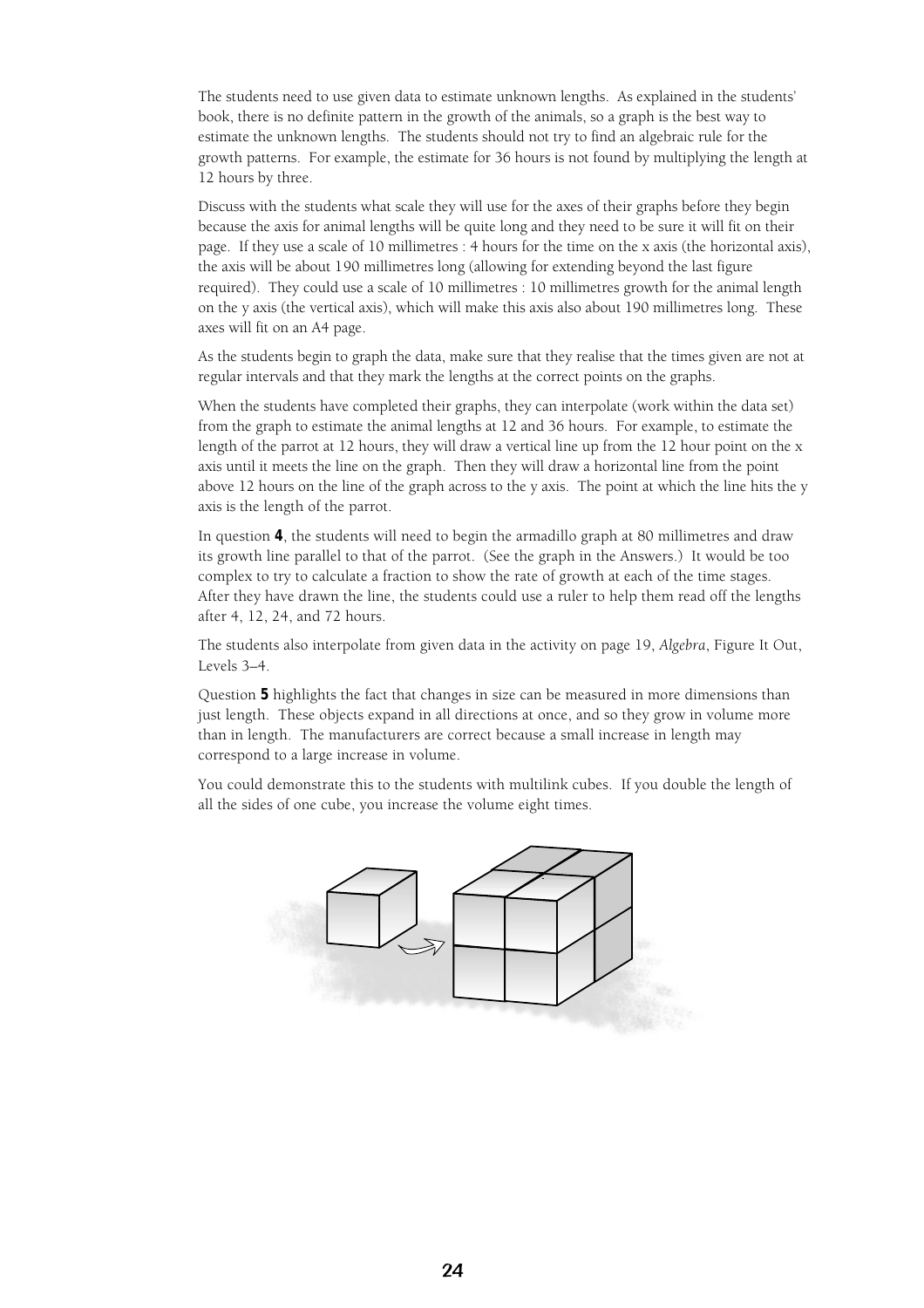The students need to use given data to estimate unknown lengths. As explained in the students' book, there is no definite pattern in the growth of the animals, so a graph is the best way to estimate the unknown lengths. The students should not try to find an algebraic rule for the growth patterns. For example, the estimate for 36 hours is not found by multiplying the length at 12 hours by three.

Discuss with the students what scale they will use for the axes of their graphs before they begin because the axis for animal lengths will be quite long and they need to be sure it will fit on their page. If they use a scale of 10 millimetres : 4 hours for the time on the x axis (the horizontal axis), the axis will be about 190 millimetres long (allowing for extending beyond the last figure required). They could use a scale of 10 millimetres : 10 millimetres growth for the animal length on the y axis (the vertical axis), which will make this axis also about 190 millimetres long. These axes will fit on an A4 page.

As the students begin to graph the data, make sure that they realise that the times given are not at regular intervals and that they mark the lengths at the correct points on the graphs.

When the students have completed their graphs, they can interpolate (work within the data set) from the graph to estimate the animal lengths at 12 and 36 hours. For example, to estimate the length of the parrot at 12 hours, they will draw a vertical line up from the 12 hour point on the x axis until it meets the line on the graph. Then they will draw a horizontal line from the point above 12 hours on the line of the graph across to the y axis. The point at which the line hits the y axis is the length of the parrot.

In question **4**, the students will need to begin the armadillo graph at 80 millimetres and draw its growth line parallel to that of the parrot. (See the graph in the Answers.) It would be too complex to try to calculate a fraction to show the rate of growth at each of the time stages. After they have drawn the line, the students could use a ruler to help them read off the lengths after 4, 12, 24, and 72 hours.

The students also interpolate from given data in the activity on page 19, *Algebra*, Figure It Out, Levels 3–4.

Question **5** highlights the fact that changes in size can be measured in more dimensions than just length. These objects expand in all directions at once, and so they grow in volume more than in length. The manufacturers are correct because a small increase in length may correspond to a large increase in volume.

You could demonstrate this to the students with multilink cubes. If you double the length of all the sides of one cube, you increase the volume eight times.

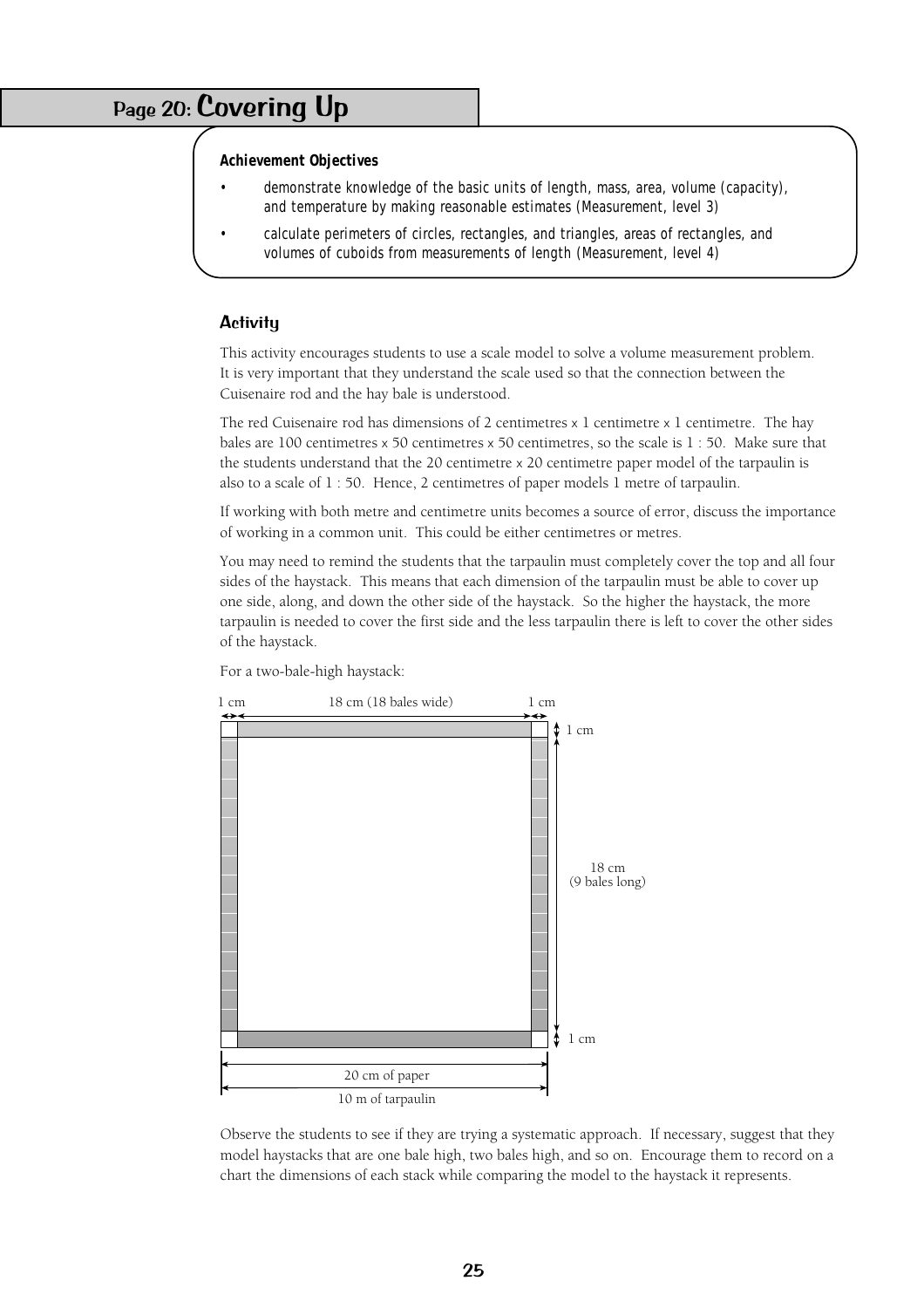# Page 20: Covering Up

#### **Achievement Objectives**

- demonstrate knowledge of the basic units of length, mass, area, volume (capacity), and temperature by making reasonable estimates (Measurement, level 3)
- calculate perimeters of circles, rectangles, and triangles, areas of rectangles, and volumes of cuboids from measurements of length (Measurement, level 4)

#### **Activity**

This activity encourages students to use a scale model to solve a volume measurement problem. It is very important that they understand the scale used so that the connection between the Cuisenaire rod and the hay bale is understood.

The red Cuisenaire rod has dimensions of 2 centimetres  $x$  1 centimetre  $x$  1 centimetre. The hay bales are 100 centimetres x 50 centimetres x 50 centimetres, so the scale is 1 : 50. Make sure that the students understand that the 20 centimetre x 20 centimetre paper model of the tarpaulin is also to a scale of 1 : 50. Hence, 2 centimetres of paper models 1 metre of tarpaulin.

If working with both metre and centimetre units becomes a source of error, discuss the importance of working in a common unit. This could be either centimetres or metres.

You may need to remind the students that the tarpaulin must completely cover the top and all four sides of the haystack. This means that each dimension of the tarpaulin must be able to cover up one side, along, and down the other side of the haystack. So the higher the haystack, the more tarpaulin is needed to cover the first side and the less tarpaulin there is left to cover the other sides of the haystack.

For a two-bale-high haystack:



Observe the students to see if they are trying a systematic approach. If necessary, suggest that they model haystacks that are one bale high, two bales high, and so on. Encourage them to record on a chart the dimensions of each stack while comparing the model to the haystack it represents.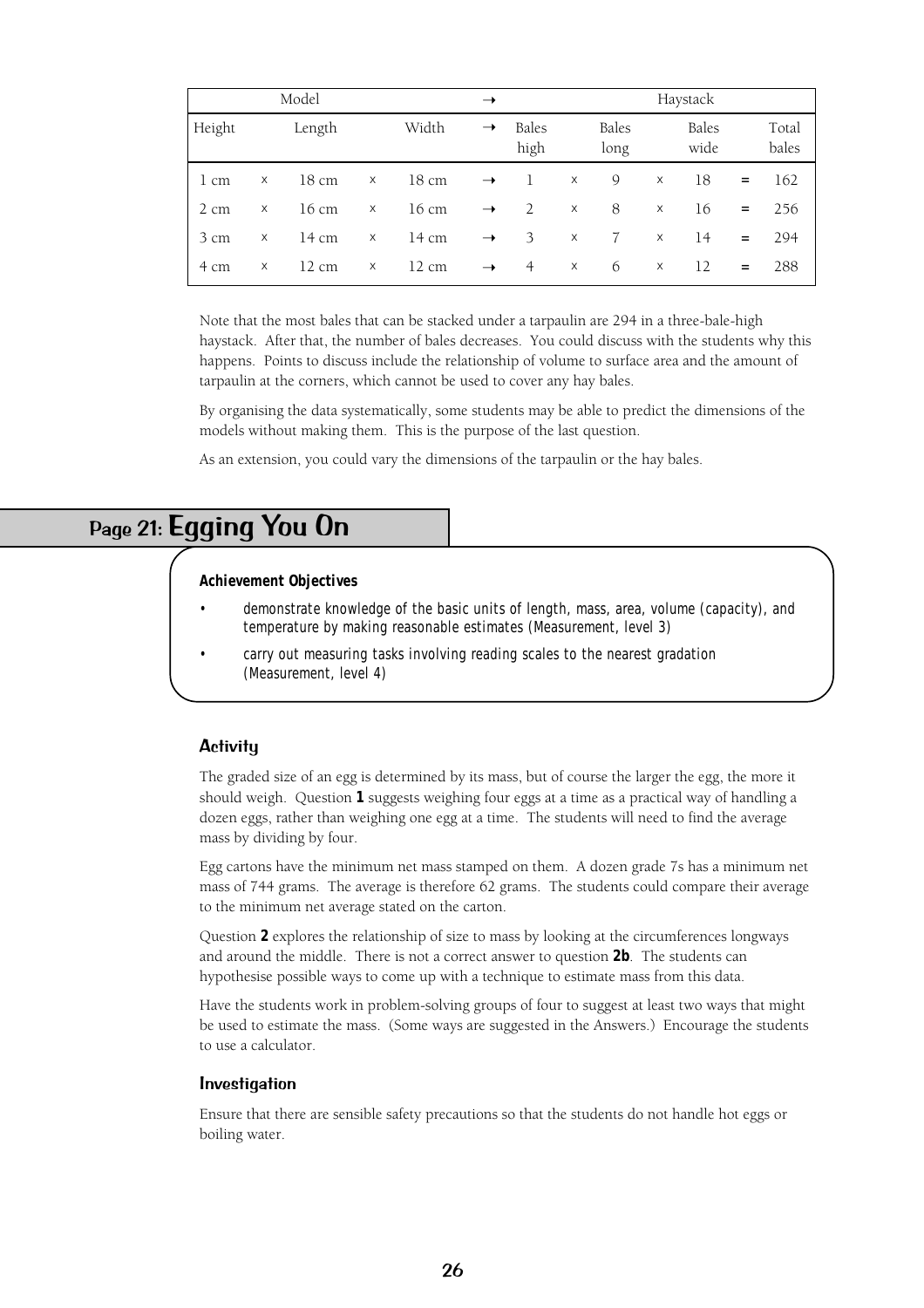| Model  |   |                 | $\rightarrow$ |                 |               | Haystack      |          |                      |   |               |          |                |
|--------|---|-----------------|---------------|-----------------|---------------|---------------|----------|----------------------|---|---------------|----------|----------------|
| Height |   | Length          |               | Width           | $\rightarrow$ | Bales<br>high |          | <b>Bales</b><br>long |   | Bales<br>wide |          | Total<br>bales |
| 1 cm   | X | 18 cm           | X             | 18 cm           | $\rightarrow$ | $\perp$       | X        | 9                    | X | 18            | $\equiv$ | 162            |
| 2 cm   | X | 16 cm           | $\mathsf X$   | 16 cm           | $\rightarrow$ | 2             | $\times$ | 8                    | X | 16            | $=$      | 256            |
| 3 cm   | X | 14 cm           | X             | 14 cm           | $\rightarrow$ | 3             | $\times$ | $\mathbf{7}$         | X | 14            | $=$      | 294            |
| 4 cm   | X | $12 \text{ cm}$ | X             | $12 \text{ cm}$ | $\rightarrow$ | 4             | $\times$ | 6                    | X | 12            | $=$      | 288            |

Note that the most bales that can be stacked under a tarpaulin are 294 in a three-bale-high haystack. After that, the number of bales decreases. You could discuss with the students why this happens. Points to discuss include the relationship of volume to surface area and the amount of tarpaulin at the corners, which cannot be used to cover any hay bales.

By organising the data systematically, some students may be able to predict the dimensions of the models without making them. This is the purpose of the last question.

As an extension, you could vary the dimensions of the tarpaulin or the hay bales.

# Page 21: Egging You On

#### **Achievement Objectives**

- demonstrate knowledge of the basic units of length, mass, area, volume (capacity), and temperature by making reasonable estimates (Measurement, level 3)
- carry out measuring tasks involving reading scales to the nearest gradation (Measurement, level 4)

#### **Activity**

The graded size of an egg is determined by its mass, but of course the larger the egg, the more it should weigh. Question **1** suggests weighing four eggs at a time as a practical way of handling a dozen eggs, rather than weighing one egg at a time. The students will need to find the average mass by dividing by four.

Egg cartons have the minimum net mass stamped on them. A dozen grade 7s has a minimum net mass of 744 grams. The average is therefore 62 grams. The students could compare their average to the minimum net average stated on the carton.

Question **2** explores the relationship of size to mass by looking at the circumferences longways and around the middle. There is not a correct answer to question **2b**. The students can hypothesise possible ways to come up with a technique to estimate mass from this data.

Have the students work in problem-solving groups of four to suggest at least two ways that might be used to estimate the mass. (Some ways are suggested in the Answers.) Encourage the students to use a calculator.

#### Investigation

Ensure that there are sensible safety precautions so that the students do not handle hot eggs or boiling water.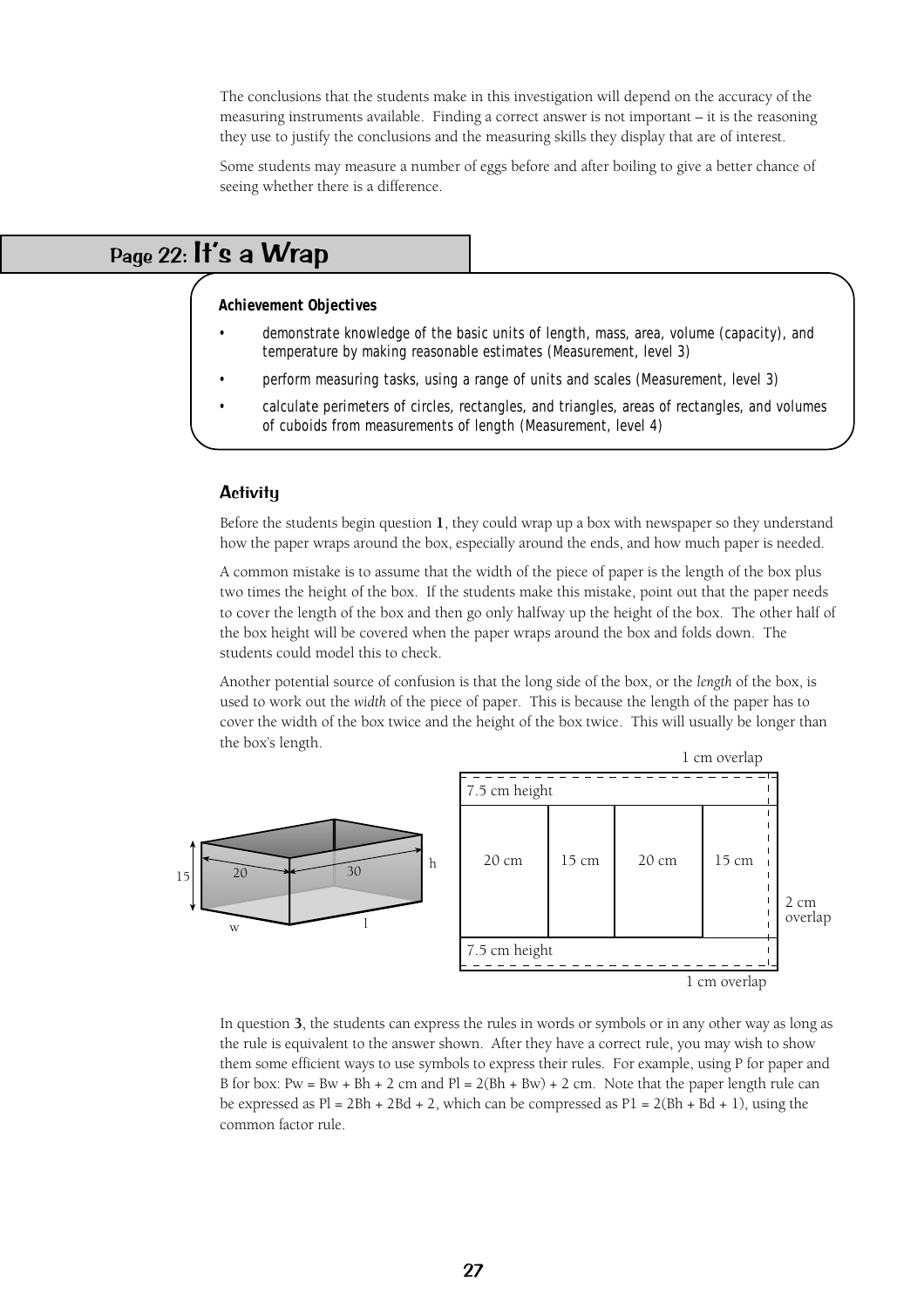The conclusions that the students make in this investigation will depend on the accuracy of the measuring instruments available. Finding a correct answer is not important – it is the reasoning they use to justify the conclusions and the measuring skills they display that are of interest.

Some students may measure a number of eggs before and after boiling to give a better chance of seeing whether there is a difference.

# Page 22: It's a Wrap

#### **Achievement Objectives**

- demonstrate knowledge of the basic units of length, mass, area, volume (capacity), and temperature by making reasonable estimates (Measurement, level 3)
- perform measuring tasks, using a range of units and scales (Measurement, level 3)
- calculate perimeters of circles, rectangles, and triangles, areas of rectangles, and volumes of cuboids from measurements of length (Measurement, level 4)

#### **Activity**

Before the students begin question **1**, they could wrap up a box with newspaper so they understand how the paper wraps around the box, especially around the ends, and how much paper is needed.

A common mistake is to assume that the width of the piece of paper is the length of the box plus two times the height of the box. If the students make this mistake, point out that the paper needs to cover the length of the box and then go only halfway up the height of the box. The other half of the box height will be covered when the paper wraps around the box and folds down. The students could model this to check.

Another potential source of confusion is that the long side of the box, or the *length* of the box, is used to work out the *width* of the piece of paper. This is because the length of the paper has to cover the width of the box twice and the height of the box twice. This will usually be longer than the box's length.



In question **3**, the students can express the rules in words or symbols or in any other way as long as the rule is equivalent to the answer shown. After they have a correct rule, you may wish to show them some efficient ways to use symbols to express their rules. For example, using P for paper and B for box: Pw = Bw + Bh + 2 cm and  $Pl = 2(Bh + Bw) + 2$  cm. Note that the paper length rule can be expressed as  $Pl = 2Bh + 2Bd + 2$ , which can be compressed as  $Pl = 2(Bh + Bd + 1)$ , using the common factor rule.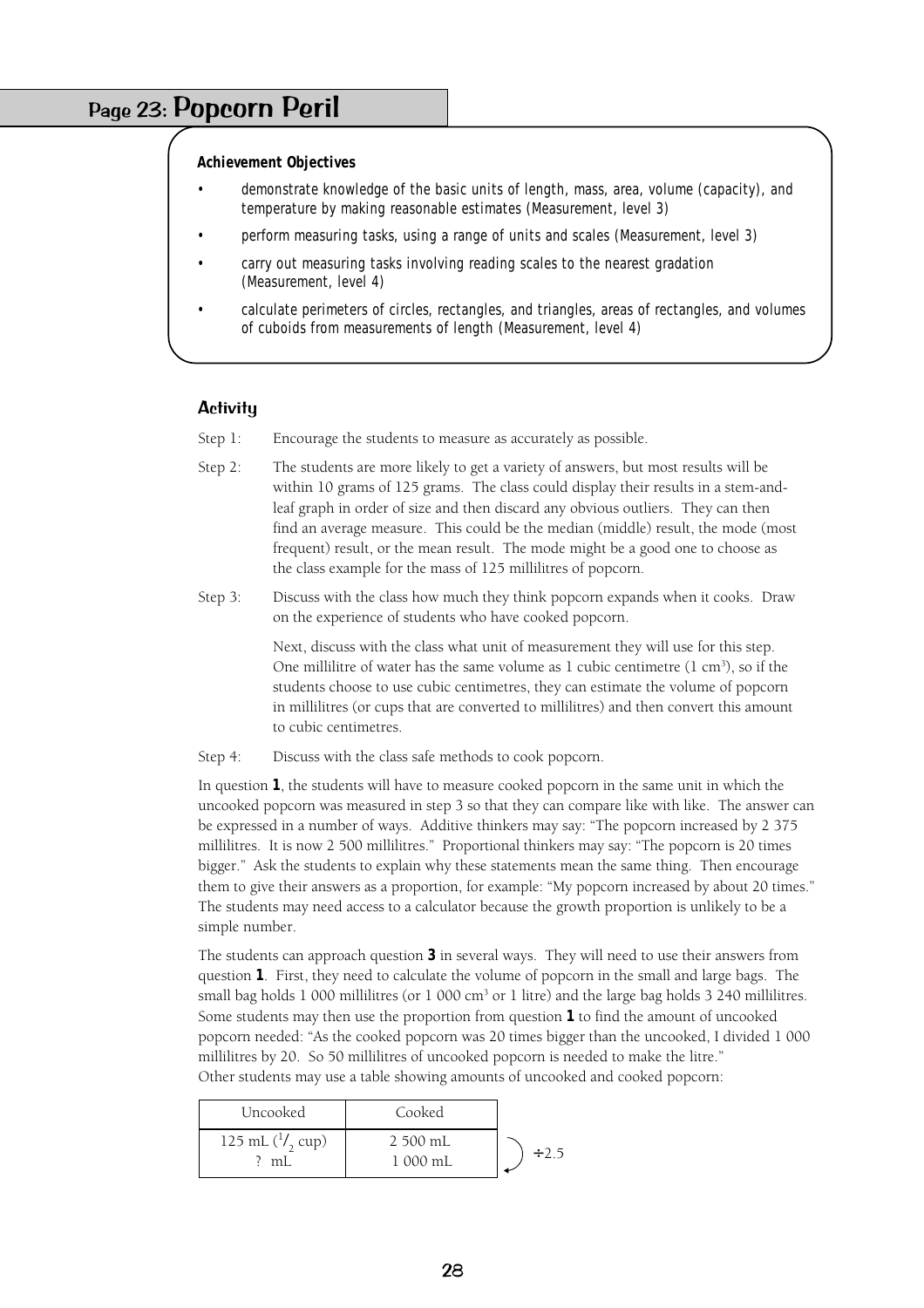### Page 23: Popcorn Peril

**Achievement Objectives**

- demonstrate knowledge of the basic units of length, mass, area, volume (capacity), and temperature by making reasonable estimates (Measurement, level 3)
- perform measuring tasks, using a range of units and scales (Measurement, level 3)
- carry out measuring tasks involving reading scales to the nearest gradation (Measurement, level 4)
- calculate perimeters of circles, rectangles, and triangles, areas of rectangles, and volumes of cuboids from measurements of length (Measurement, level 4)

#### **Activity**

- Step 1: Encourage the students to measure as accurately as possible.
- Step 2: The students are more likely to get a variety of answers, but most results will be within 10 grams of 125 grams. The class could display their results in a stem-andleaf graph in order of size and then discard any obvious outliers. They can then find an average measure. This could be the median (middle) result, the mode (most frequent) result, or the mean result. The mode might be a good one to choose as the class example for the mass of 125 millilitres of popcorn.
- Step 3: Discuss with the class how much they think popcorn expands when it cooks. Draw on the experience of students who have cooked popcorn.

Next, discuss with the class what unit of measurement they will use for this step. One millilitre of water has the same volume as 1 cubic centimetre  $(1 \text{ cm}^3)$ , so if the students choose to use cubic centimetres, they can estimate the volume of popcorn in millilitres (or cups that are converted to millilitres) and then convert this amount to cubic centimetres.

Step 4: Discuss with the class safe methods to cook popcorn.

In question **1**, the students will have to measure cooked popcorn in the same unit in which the uncooked popcorn was measured in step 3 so that they can compare like with like. The answer can be expressed in a number of ways. Additive thinkers may say: "The popcorn increased by 2 375 millilitres. It is now 2 500 millilitres." Proportional thinkers may say: "The popcorn is 20 times bigger." Ask the students to explain why these statements mean the same thing. Then encourage them to give their answers as a proportion, for example: "My popcorn increased by about 20 times." The students may need access to a calculator because the growth proportion is unlikely to be a simple number.

The students can approach question **3** in several ways. They will need to use their answers from question **1**. First, they need to calculate the volume of popcorn in the small and large bags. The small bag holds  $1\,000$  millilitres (or  $1\,000$  cm<sup>3</sup> or  $1$  litre) and the large bag holds  $3\,240$  millilitres. Some students may then use the proportion from question **1** to find the amount of uncooked popcorn needed: "As the cooked popcorn was 20 times bigger than the uncooked, I divided 1 000 millilitres by 20. So 50 millilitres of uncooked popcorn is needed to make the litre." Other students may use a table showing amounts of uncooked and cooked popcorn:

| Uncooked                         | Cooked               |            |
|----------------------------------|----------------------|------------|
| 125 mL $\binom{1}{2}$ cup)<br>mL | 2 500 mL<br>1 000 mL | $\div$ 2.5 |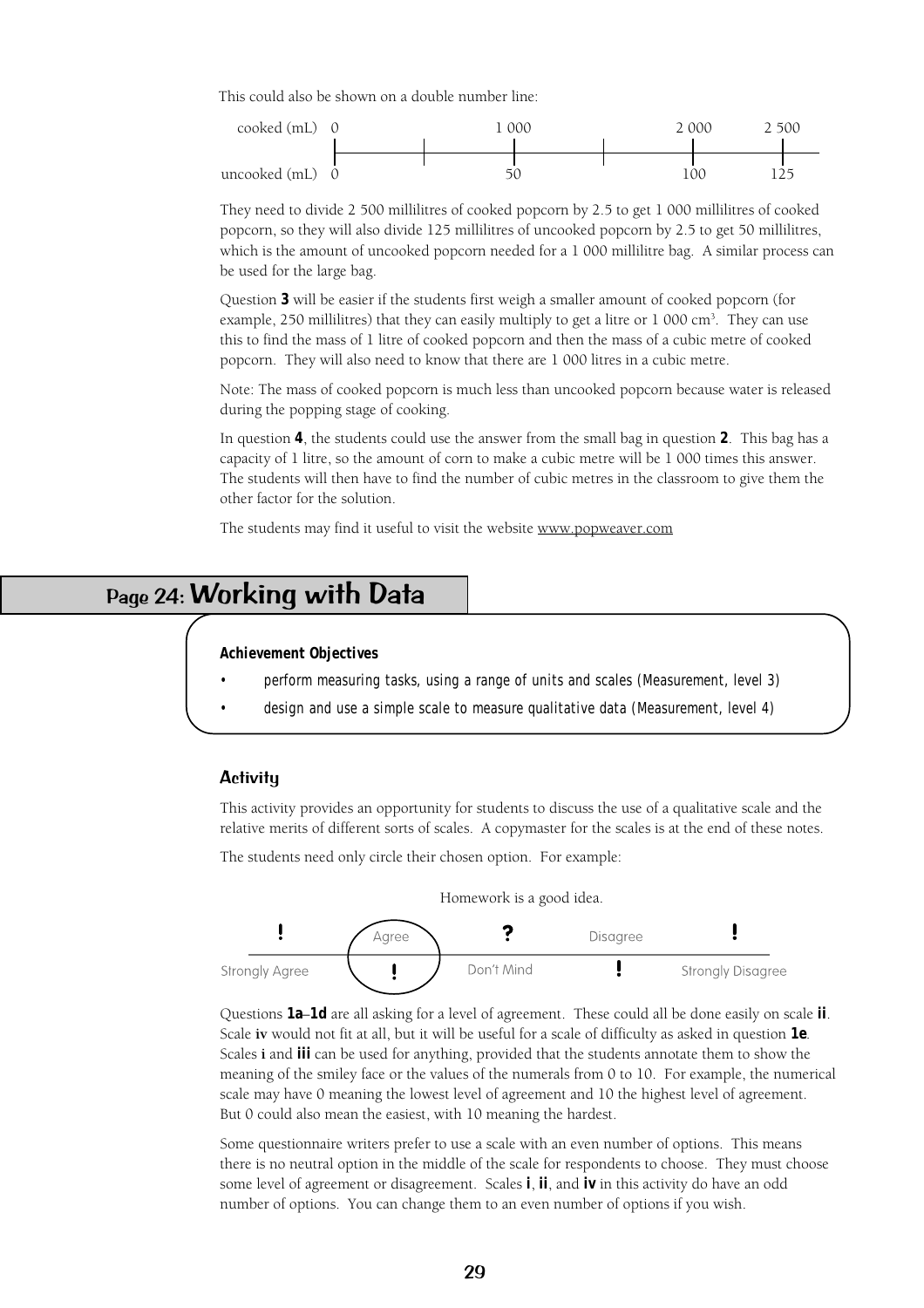This could also be shown on a double number line:



They need to divide 2 500 millilitres of cooked popcorn by 2.5 to get 1 000 millilitres of cooked popcorn, so they will also divide 125 millilitres of uncooked popcorn by 2.5 to get 50 millilitres, which is the amount of uncooked popcorn needed for a 1 000 millilitre bag. A similar process can be used for the large bag.

Question **3** will be easier if the students first weigh a smaller amount of cooked popcorn (for example, 250 millilitres) that they can easily multiply to get a litre or  $1\ 000\ \text{cm}^3$ . They can use this to find the mass of 1 litre of cooked popcorn and then the mass of a cubic metre of cooked popcorn. They will also need to know that there are 1 000 litres in a cubic metre.

Note: The mass of cooked popcorn is much less than uncooked popcorn because water is released during the popping stage of cooking.

In question **4**, the students could use the answer from the small bag in question **2**. This bag has a capacity of 1 litre, so the amount of corn to make a cubic metre will be 1 000 times this answer. The students will then have to find the number of cubic metres in the classroom to give them the other factor for the solution.

The students may find it useful to visit the website www.popweaver.com

# Page 24: Working with Data

#### **Achievement Objectives**

- perform measuring tasks, using a range of units and scales (Measurement, level 3)
- design and use a simple scale to measure qualitative data (Measurement, level 4)

#### **Activity**

This activity provides an opportunity for students to discuss the use of a qualitative scale and the relative merits of different sorts of scales. A copymaster for the scales is at the end of these notes.

The students need only circle their chosen option. For example:



Questions **1a**–**1d** are all asking for a level of agreement. These could all be done easily on scale **ii**. Scale **iv** would not fit at all, but it will be useful for a scale of difficulty as asked in question **1e**. Scales **i** and **iii** can be used for anything, provided that the students annotate them to show the meaning of the smiley face or the values of the numerals from 0 to 10. For example, the numerical scale may have 0 meaning the lowest level of agreement and 10 the highest level of agreement. But 0 could also mean the easiest, with 10 meaning the hardest.

Some questionnaire writers prefer to use a scale with an even number of options. This means there is no neutral option in the middle of the scale for respondents to choose. They must choose some level of agreement or disagreement. Scales **i**, **ii**, and **iv** in this activity do have an odd number of options. You can change them to an even number of options if you wish.